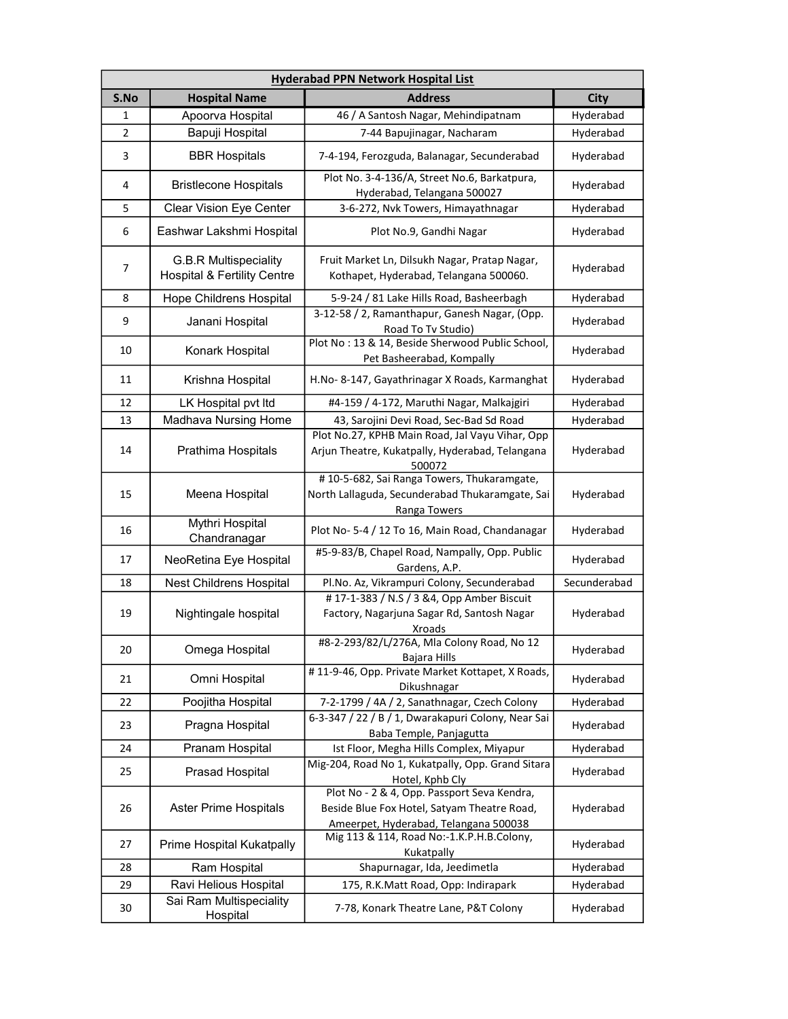| <b>Hyderabad PPN Network Hospital List</b> |                                                                        |                                                                                                                                     |              |
|--------------------------------------------|------------------------------------------------------------------------|-------------------------------------------------------------------------------------------------------------------------------------|--------------|
| S.No                                       | <b>Hospital Name</b>                                                   | <b>Address</b>                                                                                                                      | <b>City</b>  |
| 1                                          | Apoorva Hospital                                                       | 46 / A Santosh Nagar, Mehindipatnam                                                                                                 | Hyderabad    |
| 2                                          | Bapuji Hospital                                                        | 7-44 Bapujinagar, Nacharam                                                                                                          | Hyderabad    |
| 3                                          | <b>BBR Hospitals</b>                                                   | 7-4-194, Ferozguda, Balanagar, Secunderabad                                                                                         | Hyderabad    |
| 4                                          | <b>Bristlecone Hospitals</b>                                           | Plot No. 3-4-136/A, Street No.6, Barkatpura,<br>Hyderabad, Telangana 500027                                                         | Hyderabad    |
| 5                                          | <b>Clear Vision Eye Center</b>                                         | 3-6-272, Nvk Towers, Himayathnagar                                                                                                  | Hyderabad    |
| 6                                          | Eashwar Lakshmi Hospital                                               | Plot No.9, Gandhi Nagar                                                                                                             | Hyderabad    |
| 7                                          | <b>G.B.R Multispeciality</b><br><b>Hospital &amp; Fertility Centre</b> | Fruit Market Ln, Dilsukh Nagar, Pratap Nagar,<br>Kothapet, Hyderabad, Telangana 500060.                                             | Hyderabad    |
| 8                                          | Hope Childrens Hospital                                                | 5-9-24 / 81 Lake Hills Road, Basheerbagh                                                                                            | Hyderabad    |
| 9                                          | Janani Hospital                                                        | 3-12-58 / 2, Ramanthapur, Ganesh Nagar, (Opp.<br>Road To Tv Studio)                                                                 | Hyderabad    |
| 10                                         | Konark Hospital                                                        | Plot No: 13 & 14, Beside Sherwood Public School,<br>Pet Basheerabad, Kompally                                                       | Hyderabad    |
| 11                                         | Krishna Hospital                                                       | H.No-8-147, Gayathrinagar X Roads, Karmanghat                                                                                       | Hyderabad    |
| 12                                         | LK Hospital pvt Itd                                                    | #4-159 / 4-172, Maruthi Nagar, Malkajgiri                                                                                           | Hyderabad    |
| 13                                         | Madhava Nursing Home                                                   | 43, Sarojini Devi Road, Sec-Bad Sd Road                                                                                             | Hyderabad    |
| 14                                         | Prathima Hospitals                                                     | Plot No.27, KPHB Main Road, Jal Vayu Vihar, Opp<br>Arjun Theatre, Kukatpally, Hyderabad, Telangana<br>500072                        | Hyderabad    |
| 15                                         | Meena Hospital                                                         | #10-5-682, Sai Ranga Towers, Thukaramgate,<br>North Lallaguda, Secunderabad Thukaramgate, Sai<br>Ranga Towers                       | Hyderabad    |
| 16                                         | <b>Mythri Hospital</b><br>Chandranagar                                 | Plot No-5-4 / 12 To 16, Main Road, Chandanagar                                                                                      | Hyderabad    |
| 17                                         | NeoRetina Eye Hospital                                                 | #5-9-83/B, Chapel Road, Nampally, Opp. Public<br>Gardens, A.P.                                                                      | Hyderabad    |
| 18                                         | Nest Childrens Hospital                                                | Pl.No. Az, Vikrampuri Colony, Secunderabad                                                                                          | Secunderabad |
| 19                                         | Nightingale hospital                                                   | #17-1-383 / N.S / 3 & 4, Opp Amber Biscuit<br>Factory, Nagarjuna Sagar Rd, Santosh Nagar<br><b>Xroads</b>                           | Hyderabad    |
| 20                                         | Omega Hospital                                                         | #8-2-293/82/L/276A, Mla Colony Road, No 12<br>Bajara Hills                                                                          | Hyderabad    |
| 21                                         | Omni Hospital                                                          | #11-9-46, Opp. Private Market Kottapet, X Roads,<br>Dikushnagar                                                                     | Hyderabad    |
| 22                                         | Poojitha Hospital                                                      | 7-2-1799 / 4A / 2, Sanathnagar, Czech Colony                                                                                        | Hyderabad    |
| 23                                         | Pragna Hospital                                                        | 6-3-347 / 22 / B / 1, Dwarakapuri Colony, Near Sai<br>Baba Temple, Panjagutta                                                       | Hyderabad    |
| 24                                         | Pranam Hospital                                                        | Ist Floor, Megha Hills Complex, Miyapur                                                                                             | Hyderabad    |
| 25                                         | Prasad Hospital                                                        | Mig-204, Road No 1, Kukatpally, Opp. Grand Sitara<br>Hotel, Kphb Cly                                                                | Hyderabad    |
| 26                                         | Aster Prime Hospitals                                                  | Plot No - 2 & 4, Opp. Passport Seva Kendra,<br>Beside Blue Fox Hotel, Satyam Theatre Road,<br>Ameerpet, Hyderabad, Telangana 500038 | Hyderabad    |
| 27                                         | Prime Hospital Kukatpally                                              | Mig 113 & 114, Road No:-1.K.P.H.B.Colony,<br>Kukatpally                                                                             | Hyderabad    |
| 28                                         | Ram Hospital                                                           | Shapurnagar, Ida, Jeedimetla                                                                                                        | Hyderabad    |
| 29                                         | Ravi Helious Hospital                                                  | 175, R.K.Matt Road, Opp: Indirapark                                                                                                 | Hyderabad    |
| 30                                         | Sai Ram Multispeciality<br>Hospital                                    | 7-78, Konark Theatre Lane, P&T Colony                                                                                               | Hyderabad    |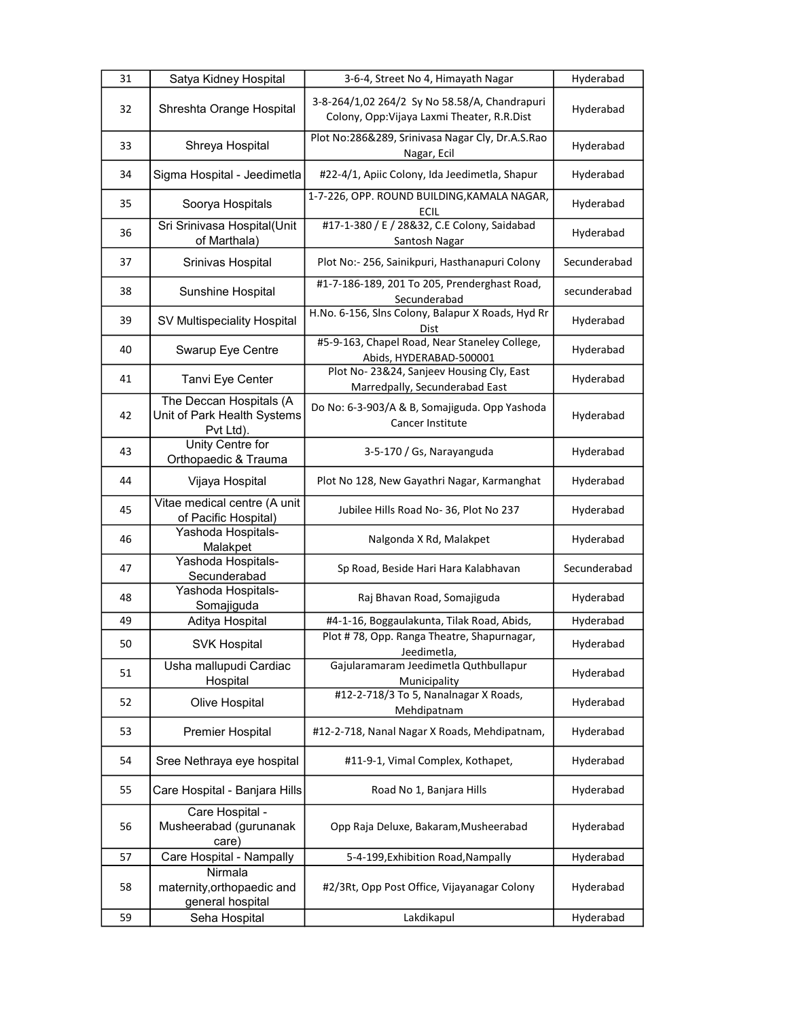| 31 | Satya Kidney Hospital                                               | 3-6-4, Street No 4, Himayath Nagar                                                           | Hyderabad    |
|----|---------------------------------------------------------------------|----------------------------------------------------------------------------------------------|--------------|
| 32 | Shreshta Orange Hospital                                            | 3-8-264/1,02 264/2 Sy No 58.58/A, Chandrapuri<br>Colony, Opp: Vijaya Laxmi Theater, R.R.Dist | Hyderabad    |
| 33 | Shreya Hospital                                                     | Plot No:286&289, Srinivasa Nagar Cly, Dr.A.S.Rao<br>Nagar, Ecil                              | Hyderabad    |
| 34 | Sigma Hospital - Jeedimetla                                         | #22-4/1, Apiic Colony, Ida Jeedimetla, Shapur                                                | Hyderabad    |
| 35 | Soorya Hospitals                                                    | 1-7-226, OPP. ROUND BUILDING, KAMALA NAGAR,<br><b>ECIL</b>                                   | Hyderabad    |
| 36 | Sri Srinivasa Hospital(Unit<br>of Marthala)                         | #17-1-380 / E / 28&32, C.E Colony, Saidabad<br>Santosh Nagar                                 | Hyderabad    |
| 37 | Srinivas Hospital                                                   | Plot No:- 256, Sainikpuri, Hasthanapuri Colony                                               | Secunderabad |
| 38 | Sunshine Hospital                                                   | #1-7-186-189, 201 To 205, Prenderghast Road,<br>Secunderabad                                 | secunderabad |
| 39 | SV Multispeciality Hospital                                         | H.No. 6-156, Slns Colony, Balapur X Roads, Hyd Rr<br>Dist                                    | Hyderabad    |
| 40 | Swarup Eye Centre                                                   | #5-9-163, Chapel Road, Near Staneley College,<br>Abids, HYDERABAD-500001                     | Hyderabad    |
| 41 | Tanvi Eye Center                                                    | Plot No-23&24, Sanjeev Housing Cly, East<br>Marredpally, Secunderabad East                   | Hyderabad    |
| 42 | The Deccan Hospitals (A<br>Unit of Park Health Systems<br>Pvt Ltd). | Do No: 6-3-903/A & B, Somajiguda. Opp Yashoda<br>Cancer Institute                            | Hyderabad    |
| 43 | <b>Unity Centre for</b><br>Orthopaedic & Trauma                     | 3-5-170 / Gs, Narayanguda                                                                    | Hyderabad    |
| 44 | Vijaya Hospital                                                     | Plot No 128, New Gayathri Nagar, Karmanghat                                                  | Hyderabad    |
| 45 | Vitae medical centre (A unit<br>of Pacific Hospital)                | Jubilee Hills Road No- 36, Plot No 237                                                       | Hyderabad    |
| 46 | Yashoda Hospitals-<br>Malakpet                                      | Nalgonda X Rd, Malakpet                                                                      | Hyderabad    |
| 47 | Yashoda Hospitals-<br>Secunderabad                                  | Sp Road, Beside Hari Hara Kalabhavan                                                         | Secunderabad |
| 48 | Yashoda Hospitals-<br>Somajiguda                                    | Raj Bhavan Road, Somajiguda                                                                  | Hyderabad    |
| 49 | Aditya Hospital                                                     | #4-1-16, Boggaulakunta, Tilak Road, Abids,                                                   | Hyderabad    |
| 50 | <b>SVK Hospital</b>                                                 | Plot #78, Opp. Ranga Theatre, Shapurnagar,<br>Jeedimetla,                                    | Hyderabad    |
| 51 | Usha mallupudi Cardiac<br>Hospital                                  | Gajularamaram Jeedimetla Quthbullapur<br>Municipality                                        | Hyderabad    |
| 52 | Olive Hospital                                                      | #12-2-718/3 To 5, Nanalnagar X Roads,<br>Mehdipatnam                                         | Hyderabad    |
| 53 | Premier Hospital                                                    | #12-2-718, Nanal Nagar X Roads, Mehdipatnam,                                                 | Hyderabad    |
| 54 | Sree Nethraya eye hospital                                          | #11-9-1, Vimal Complex, Kothapet,                                                            | Hyderabad    |
| 55 | Care Hospital - Banjara Hills                                       | Road No 1, Banjara Hills                                                                     | Hyderabad    |
| 56 | Care Hospital -<br>Musheerabad (gurunanak<br>care)                  | Opp Raja Deluxe, Bakaram, Musheerabad                                                        | Hyderabad    |
| 57 | Care Hospital - Nampally                                            | 5-4-199, Exhibition Road, Nampally                                                           | Hyderabad    |
| 58 | Nirmala<br>maternity, orthopaedic and<br>general hospital           | #2/3Rt, Opp Post Office, Vijayanagar Colony                                                  | Hyderabad    |
| 59 | Seha Hospital                                                       | Lakdikapul                                                                                   | Hyderabad    |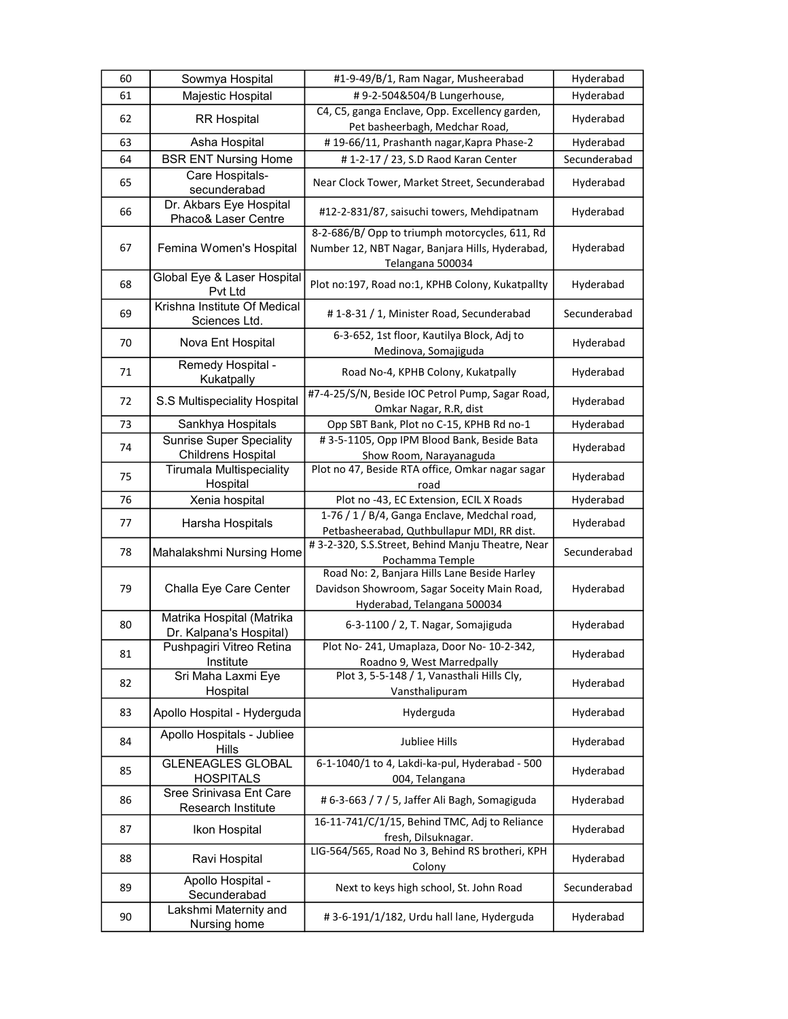| 60 | Sowmya Hospital                                              | #1-9-49/B/1, Ram Nagar, Musheerabad                                                                                        | Hyderabad    |
|----|--------------------------------------------------------------|----------------------------------------------------------------------------------------------------------------------------|--------------|
| 61 | Majestic Hospital                                            | #9-2-504&504/B Lungerhouse,                                                                                                | Hyderabad    |
| 62 | <b>RR Hospital</b>                                           | C4, C5, ganga Enclave, Opp. Excellency garden,<br>Pet basheerbagh, Medchar Road,                                           | Hyderabad    |
| 63 | Asha Hospital                                                | #19-66/11, Prashanth nagar, Kapra Phase-2                                                                                  | Hyderabad    |
| 64 | <b>BSR ENT Nursing Home</b>                                  | #1-2-17 / 23, S.D Raod Karan Center                                                                                        | Secunderabad |
| 65 | Care Hospitals-<br>secunderabad                              | Near Clock Tower, Market Street, Secunderabad                                                                              | Hyderabad    |
| 66 | Dr. Akbars Eye Hospital<br>Phaco& Laser Centre               | #12-2-831/87, saisuchi towers, Mehdipatnam                                                                                 | Hyderabad    |
| 67 | Femina Women's Hospital                                      | 8-2-686/B/ Opp to triumph motorcycles, 611, Rd<br>Number 12, NBT Nagar, Banjara Hills, Hyderabad,<br>Telangana 500034      | Hyderabad    |
| 68 | Global Eye & Laser Hospital<br>Pvt Ltd                       | Plot no:197, Road no:1, KPHB Colony, Kukatpallty                                                                           | Hyderabad    |
| 69 | Krishna Institute Of Medical<br>Sciences Ltd.                | #1-8-31 / 1, Minister Road, Secunderabad                                                                                   | Secunderabad |
| 70 | Nova Ent Hospital                                            | 6-3-652, 1st floor, Kautilya Block, Adj to<br>Medinova, Somajiguda                                                         | Hyderabad    |
| 71 | Remedy Hospital -<br>Kukatpally                              | Road No-4, KPHB Colony, Kukatpally                                                                                         | Hyderabad    |
| 72 | S.S Multispeciality Hospital                                 | #7-4-25/S/N, Beside IOC Petrol Pump, Sagar Road,<br>Omkar Nagar, R.R, dist                                                 | Hyderabad    |
| 73 | Sankhya Hospitals                                            | Opp SBT Bank, Plot no C-15, KPHB Rd no-1                                                                                   | Hyderabad    |
| 74 | <b>Sunrise Super Speciality</b><br><b>Childrens Hospital</b> | #3-5-1105, Opp IPM Blood Bank, Beside Bata<br>Show Room, Narayanaguda                                                      | Hyderabad    |
| 75 | <b>Tirumala Multispeciality</b><br>Hospital                  | Plot no 47, Beside RTA office, Omkar nagar sagar<br>road                                                                   | Hyderabad    |
| 76 | Xenia hospital                                               | Plot no -43, EC Extension, ECIL X Roads                                                                                    | Hyderabad    |
| 77 | Harsha Hospitals                                             | 1-76 / 1 / B/4, Ganga Enclave, Medchal road,<br>Petbasheerabad, Quthbullapur MDI, RR dist.                                 | Hyderabad    |
| 78 | Mahalakshmi Nursing Home                                     | #3-2-320, S.S.Street, Behind Manju Theatre, Near<br>Pochamma Temple                                                        | Secunderabad |
| 79 | Challa Eye Care Center                                       | Road No: 2, Banjara Hills Lane Beside Harley<br>Davidson Showroom, Sagar Soceity Main Road,<br>Hyderabad, Telangana 500034 | Hyderabad    |
| 80 | Matrika Hospital (Matrika<br>Dr. Kalpana's Hospital)         | 6-3-1100 / 2, T. Nagar, Somajiguda                                                                                         | Hyderabad    |
| 81 | Pushpagiri Vitreo Retina<br>Institute                        | Plot No-241, Umaplaza, Door No-10-2-342,<br>Roadno 9, West Marredpally                                                     | Hyderabad    |
| 82 | Sri Maha Laxmi Eye<br>Hospital                               | Plot 3, 5-5-148 / 1, Vanasthali Hills Cly,<br>Vansthalipuram                                                               | Hyderabad    |
| 83 | Apollo Hospital - Hyderguda                                  | Hyderguda                                                                                                                  | Hyderabad    |
| 84 | Apollo Hospitals - Jubliee<br><b>Hills</b>                   | <b>Jubliee Hills</b>                                                                                                       | Hyderabad    |
| 85 | <b>GLENEAGLES GLOBAL</b><br><b>HOSPITALS</b>                 | 6-1-1040/1 to 4, Lakdi-ka-pul, Hyderabad - 500<br>004, Telangana                                                           | Hyderabad    |
| 86 | Sree Srinivasa Ent Care<br>Research Institute                | # 6-3-663 / 7 / 5, Jaffer Ali Bagh, Somagiguda                                                                             | Hyderabad    |
| 87 | Ikon Hospital                                                | 16-11-741/C/1/15, Behind TMC, Adj to Reliance<br>fresh, Dilsuknagar.                                                       | Hyderabad    |
| 88 | Ravi Hospital                                                | LIG-564/565, Road No 3, Behind RS brotheri, KPH<br>Colony                                                                  | Hyderabad    |
| 89 | Apollo Hospital -<br>Secunderabad                            | Next to keys high school, St. John Road                                                                                    | Secunderabad |
| 90 | Lakshmi Maternity and<br>Nursing home                        | #3-6-191/1/182, Urdu hall lane, Hyderguda                                                                                  | Hyderabad    |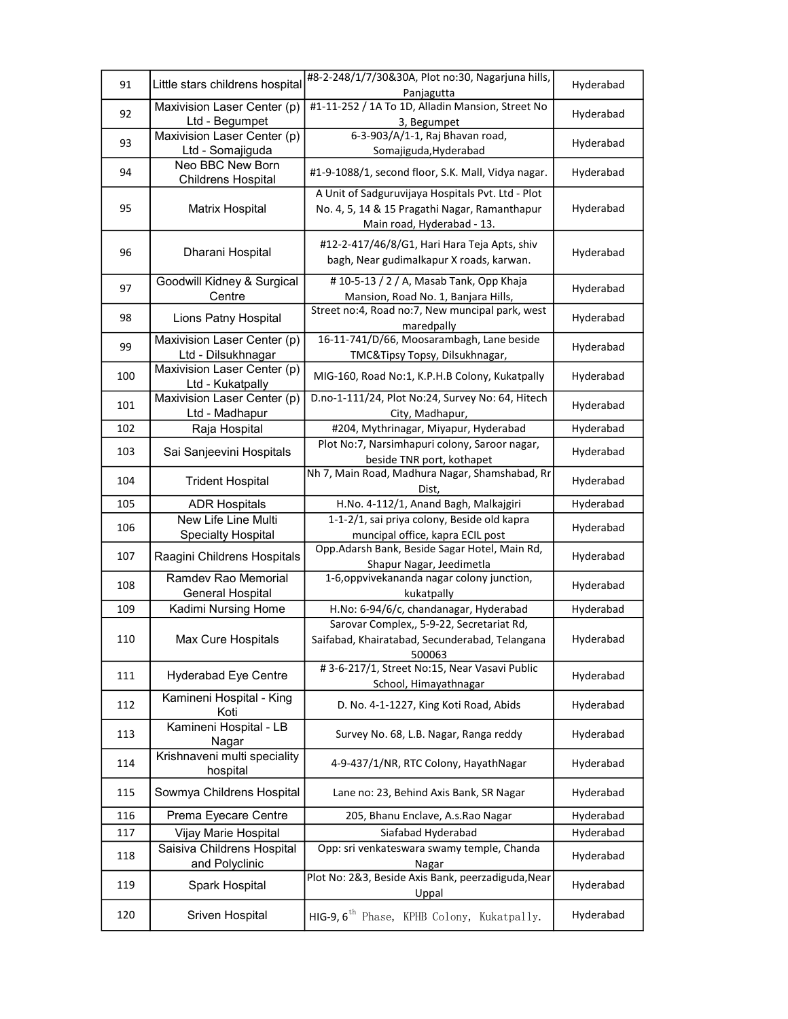| 91  | Little stars childrens hospital                   | #8-2-248/1/7/30&30A, Plot no:30, Nagarjuna hills,<br>Panjagutta                                                                  | Hyderabad |
|-----|---------------------------------------------------|----------------------------------------------------------------------------------------------------------------------------------|-----------|
| 92  | Maxivision Laser Center (p)<br>Ltd - Begumpet     | #1-11-252 / 1A To 1D, Alladin Mansion, Street No<br>3, Begumpet                                                                  | Hyderabad |
| 93  | Maxivision Laser Center (p)<br>Ltd - Somajiguda   | 6-3-903/A/1-1, Raj Bhavan road,<br>Somajiguda, Hyderabad                                                                         | Hyderabad |
| 94  | Neo BBC New Born<br><b>Childrens Hospital</b>     | #1-9-1088/1, second floor, S.K. Mall, Vidya nagar.                                                                               | Hyderabad |
| 95  | Matrix Hospital                                   | A Unit of Sadguruvijaya Hospitals Pvt. Ltd - Plot<br>No. 4, 5, 14 & 15 Pragathi Nagar, Ramanthapur<br>Main road, Hyderabad - 13. | Hyderabad |
| 96  | Dharani Hospital                                  | #12-2-417/46/8/G1, Hari Hara Teja Apts, shiv<br>bagh, Near gudimalkapur X roads, karwan.                                         | Hyderabad |
| 97  | Goodwill Kidney & Surgical<br>Centre              | #10-5-13 / 2 / A, Masab Tank, Opp Khaja<br>Mansion, Road No. 1, Banjara Hills,                                                   | Hyderabad |
| 98  | Lions Patny Hospital                              | Street no:4, Road no:7, New muncipal park, west<br>maredpally                                                                    | Hyderabad |
| 99  | Maxivision Laser Center (p)<br>Ltd - Dilsukhnagar | 16-11-741/D/66, Moosarambagh, Lane beside<br>TMC&Tipsy Topsy, Dilsukhnagar,                                                      | Hyderabad |
| 100 | Maxivision Laser Center (p)<br>Ltd - Kukatpally   | MIG-160, Road No:1, K.P.H.B Colony, Kukatpally                                                                                   | Hyderabad |
| 101 | Maxivision Laser Center (p)<br>Ltd - Madhapur     | D.no-1-111/24, Plot No:24, Survey No: 64, Hitech<br>City, Madhapur,                                                              | Hyderabad |
| 102 | Raja Hospital                                     | #204, Mythrinagar, Miyapur, Hyderabad                                                                                            | Hyderabad |
| 103 | Sai Sanjeevini Hospitals                          | Plot No:7, Narsimhapuri colony, Saroor nagar,<br>beside TNR port, kothapet                                                       | Hyderabad |
| 104 | <b>Trident Hospital</b>                           | Nh 7, Main Road, Madhura Nagar, Shamshabad, Rr<br>Dist,                                                                          | Hyderabad |
| 105 | <b>ADR Hospitals</b>                              | H.No. 4-112/1, Anand Bagh, Malkajgiri                                                                                            | Hyderabad |
| 106 | New Life Line Multi<br><b>Specialty Hospital</b>  | 1-1-2/1, sai priya colony, Beside old kapra<br>muncipal office, kapra ECIL post                                                  | Hyderabad |
| 107 | Raagini Childrens Hospitals                       | Opp.Adarsh Bank, Beside Sagar Hotel, Main Rd,<br>Shapur Nagar, Jeedimetla                                                        | Hyderabad |
| 108 | Ramdev Rao Memorial<br><b>General Hospital</b>    | 1-6, oppvivekananda nagar colony junction,<br>kukatpally                                                                         | Hyderabad |
| 109 | Kadimi Nursing Home                               | H.No: 6-94/6/c, chandanagar, Hyderabad                                                                                           | Hyderabad |
| 110 | Max Cure Hospitals                                | Sarovar Complex,, 5-9-22, Secretariat Rd,<br>Saifabad, Khairatabad, Secunderabad, Telangana<br>500063                            | Hyderabad |
| 111 | <b>Hyderabad Eye Centre</b>                       | #3-6-217/1, Street No:15, Near Vasavi Public<br>School, Himayathnagar                                                            | Hyderabad |
| 112 | Kamineni Hospital - King<br>Koti                  | D. No. 4-1-1227, King Koti Road, Abids                                                                                           | Hyderabad |
| 113 | Kamineni Hospital - LB<br>Nagar                   | Survey No. 68, L.B. Nagar, Ranga reddy                                                                                           | Hyderabad |
| 114 | Krishnaveni multi speciality<br>hospital          | 4-9-437/1/NR, RTC Colony, HayathNagar                                                                                            | Hyderabad |
| 115 | Sowmya Childrens Hospital                         | Lane no: 23, Behind Axis Bank, SR Nagar                                                                                          | Hyderabad |
| 116 | Prema Eyecare Centre                              | 205, Bhanu Enclave, A.s.Rao Nagar                                                                                                | Hyderabad |
| 117 | Vijay Marie Hospital                              | Siafabad Hyderabad                                                                                                               | Hyderabad |
| 118 | Saisiva Childrens Hospital<br>and Polyclinic      | Opp: sri venkateswara swamy temple, Chanda<br>Nagar                                                                              | Hyderabad |
| 119 | Spark Hospital                                    | Plot No: 2&3, Beside Axis Bank, peerzadiguda, Near<br>Uppal                                                                      | Hyderabad |
| 120 | Sriven Hospital                                   | HIG-9, 6 <sup>th</sup> Phase, KPHB Colony, Kukatpally.                                                                           | Hyderabad |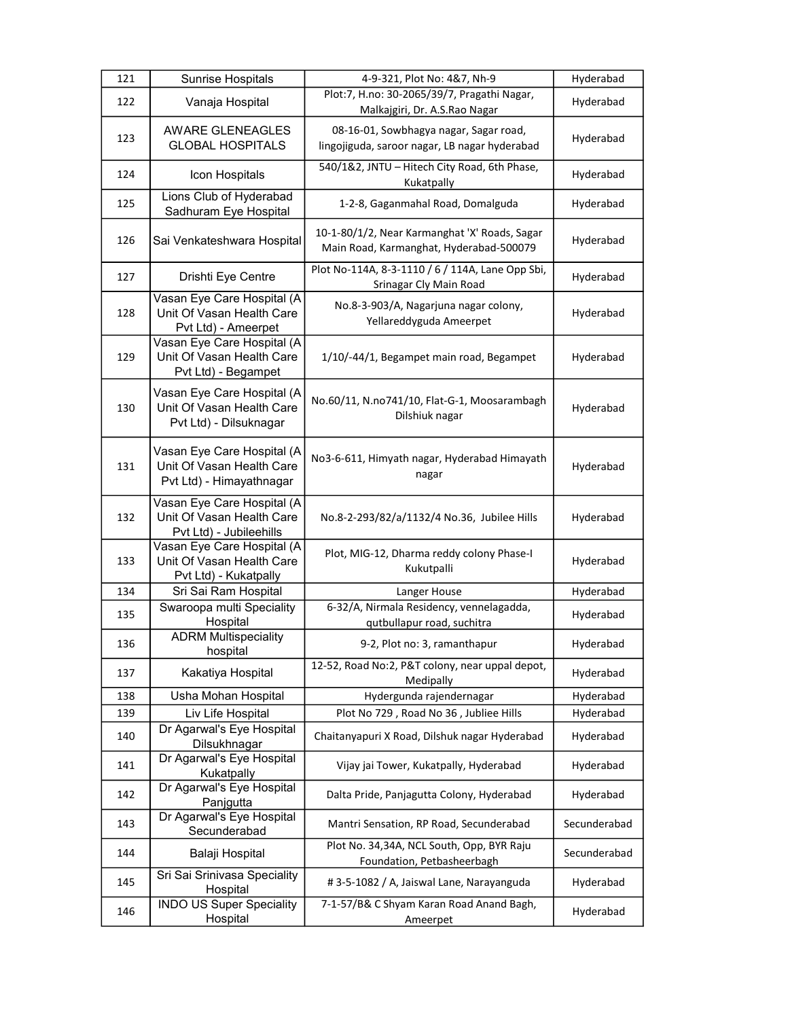| 121 | Sunrise Hospitals                                                                   | 4-9-321, Plot No: 4&7, Nh-9                                                              | Hyderabad    |
|-----|-------------------------------------------------------------------------------------|------------------------------------------------------------------------------------------|--------------|
| 122 | Vanaja Hospital                                                                     | Plot:7, H.no: 30-2065/39/7, Pragathi Nagar,<br>Malkajgiri, Dr. A.S.Rao Nagar             | Hyderabad    |
| 123 | <b>AWARE GLENEAGLES</b><br><b>GLOBAL HOSPITALS</b>                                  | 08-16-01, Sowbhagya nagar, Sagar road,<br>lingojiguda, saroor nagar, LB nagar hyderabad  | Hyderabad    |
| 124 | Icon Hospitals                                                                      | 540/1&2, JNTU - Hitech City Road, 6th Phase,<br>Kukatpally                               | Hyderabad    |
| 125 | Lions Club of Hyderabad<br>Sadhuram Eye Hospital                                    | 1-2-8, Gaganmahal Road, Domalguda                                                        | Hyderabad    |
| 126 | Sai Venkateshwara Hospital                                                          | 10-1-80/1/2, Near Karmanghat 'X' Roads, Sagar<br>Main Road, Karmanghat, Hyderabad-500079 | Hyderabad    |
| 127 | Drishti Eye Centre                                                                  | Plot No-114A, 8-3-1110 / 6 / 114A, Lane Opp Sbi,<br>Srinagar Cly Main Road               | Hyderabad    |
| 128 | Vasan Eye Care Hospital (A<br>Unit Of Vasan Health Care<br>Pvt Ltd) - Ameerpet      | No.8-3-903/A, Nagarjuna nagar colony,<br>Yellareddyguda Ameerpet                         | Hyderabad    |
| 129 | Vasan Eye Care Hospital (A<br>Unit Of Vasan Health Care<br>Pvt Ltd) - Begampet      | 1/10/-44/1, Begampet main road, Begampet                                                 | Hyderabad    |
| 130 | Vasan Eye Care Hospital (A<br>Unit Of Vasan Health Care<br>Pvt Ltd) - Dilsuknagar   | No.60/11, N.no741/10, Flat-G-1, Moosarambagh<br>Dilshiuk nagar                           | Hyderabad    |
| 131 | Vasan Eye Care Hospital (A<br>Unit Of Vasan Health Care<br>Pvt Ltd) - Himayathnagar | No3-6-611, Himyath nagar, Hyderabad Himayath<br>nagar                                    | Hyderabad    |
| 132 | Vasan Eye Care Hospital (A<br>Unit Of Vasan Health Care<br>Pvt Ltd) - Jubileehills  | No.8-2-293/82/a/1132/4 No.36, Jubilee Hills                                              | Hyderabad    |
| 133 | Vasan Eye Care Hospital (A<br>Unit Of Vasan Health Care<br>Pvt Ltd) - Kukatpally    | Plot, MIG-12, Dharma reddy colony Phase-I<br>Kukutpalli                                  | Hyderabad    |
| 134 | Sri Sai Ram Hospital                                                                | Langer House                                                                             | Hyderabad    |
| 135 | Swaroopa multi Speciality<br>Hospital                                               | 6-32/A, Nirmala Residency, vennelagadda,<br>qutbullapur road, suchitra                   | Hyderabad    |
| 136 | <b>ADRM Multispeciality</b><br>hospital                                             | 9-2, Plot no: 3, ramanthapur                                                             | Hyderabad    |
| 137 | Kakatiya Hospital                                                                   | 12-52, Road No:2, P&T colony, near uppal depot,<br>Medipally                             | Hyderabad    |
| 138 | Usha Mohan Hospital                                                                 | Hydergunda rajendernagar                                                                 | Hyderabad    |
| 139 | Liv Life Hospital                                                                   | Plot No 729, Road No 36, Jubliee Hills                                                   | Hyderabad    |
| 140 | Dr Agarwal's Eye Hospital<br>Dilsukhnagar                                           | Chaitanyapuri X Road, Dilshuk nagar Hyderabad                                            | Hyderabad    |
| 141 | Dr Agarwal's Eye Hospital<br>Kukatpally                                             | Vijay jai Tower, Kukatpally, Hyderabad                                                   | Hyderabad    |
| 142 | Dr Agarwal's Eye Hospital<br>Panjgutta                                              | Dalta Pride, Panjagutta Colony, Hyderabad                                                | Hyderabad    |
| 143 | Dr Agarwal's Eye Hospital<br>Secunderabad                                           | Mantri Sensation, RP Road, Secunderabad                                                  | Secunderabad |
| 144 | Balaji Hospital                                                                     | Plot No. 34,34A, NCL South, Opp, BYR Raju<br>Foundation, Petbasheerbagh                  | Secunderabad |
| 145 | Sri Sai Srinivasa Speciality<br>Hospital                                            | #3-5-1082 / A, Jaiswal Lane, Narayanguda                                                 | Hyderabad    |
| 146 | <b>INDO US Super Speciality</b><br>Hospital                                         | 7-1-57/B& C Shyam Karan Road Anand Bagh,<br>Ameerpet                                     | Hyderabad    |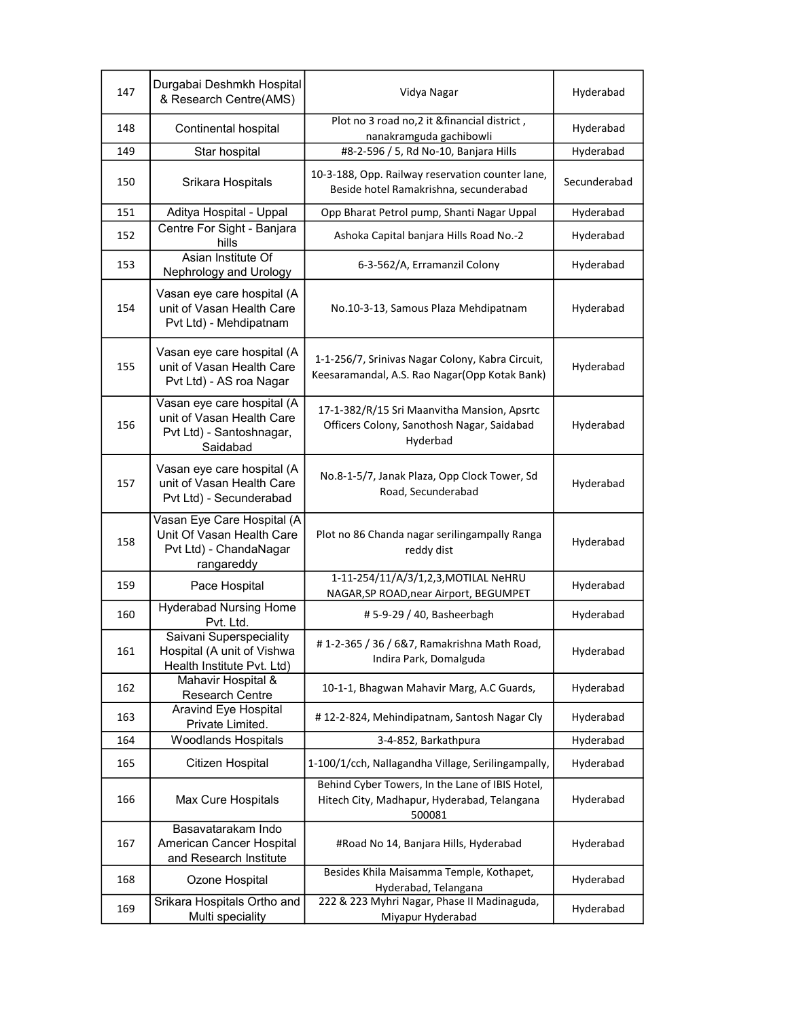| 147 | Durgabai Deshmkh Hospital<br>& Research Centre(AMS)                                             | Vidya Nagar                                                                                              | Hyderabad    |
|-----|-------------------------------------------------------------------------------------------------|----------------------------------------------------------------------------------------------------------|--------------|
| 148 | Continental hospital                                                                            | Plot no 3 road no, 2 it & financial district,<br>nanakramguda gachibowli                                 | Hyderabad    |
| 149 | Star hospital                                                                                   | #8-2-596 / 5, Rd No-10, Banjara Hills                                                                    | Hyderabad    |
| 150 | Srikara Hospitals                                                                               | 10-3-188, Opp. Railway reservation counter lane,<br>Beside hotel Ramakrishna, secunderabad               | Secunderabad |
| 151 | Aditya Hospital - Uppal                                                                         | Opp Bharat Petrol pump, Shanti Nagar Uppal                                                               | Hyderabad    |
| 152 | Centre For Sight - Banjara<br>hills                                                             | Ashoka Capital banjara Hills Road No.-2                                                                  | Hyderabad    |
| 153 | Asian Institute Of<br>Nephrology and Urology                                                    | 6-3-562/A, Erramanzil Colony                                                                             | Hyderabad    |
| 154 | Vasan eye care hospital (A<br>unit of Vasan Health Care<br>Pvt Ltd) - Mehdipatnam               | No.10-3-13, Samous Plaza Mehdipatnam                                                                     | Hyderabad    |
| 155 | Vasan eye care hospital (A<br>unit of Vasan Health Care<br>Pvt Ltd) - AS roa Nagar              | 1-1-256/7, Srinivas Nagar Colony, Kabra Circuit,<br>Keesaramandal, A.S. Rao Nagar(Opp Kotak Bank)        | Hyderabad    |
| 156 | Vasan eye care hospital (A<br>unit of Vasan Health Care<br>Pvt Ltd) - Santoshnagar,<br>Saidabad | 17-1-382/R/15 Sri Maanvitha Mansion, Apsrtc<br>Officers Colony, Sanothosh Nagar, Saidabad<br>Hyderbad    | Hyderabad    |
| 157 | Vasan eye care hospital (A<br>unit of Vasan Health Care<br>Pvt Ltd) - Secunderabad              | No.8-1-5/7, Janak Plaza, Opp Clock Tower, Sd<br>Road, Secunderabad                                       | Hyderabad    |
| 158 | Vasan Eye Care Hospital (A<br>Unit Of Vasan Health Care<br>Pvt Ltd) - ChandaNagar<br>rangareddy | Plot no 86 Chanda nagar serilingampally Ranga<br>reddy dist                                              | Hyderabad    |
| 159 | Pace Hospital                                                                                   | 1-11-254/11/A/3/1,2,3, MOTILAL NeHRU<br>NAGAR, SP ROAD, near Airport, BEGUMPET                           | Hyderabad    |
| 160 | <b>Hyderabad Nursing Home</b><br>Pvt. Ltd.                                                      | #5-9-29 / 40, Basheerbagh                                                                                | Hyderabad    |
| 161 | Saivani Superspeciality<br>Hospital (A unit of Vishwa<br>Health Institute Pvt. Ltd)             | #1-2-365 / 36 / 6&7, Ramakrishna Math Road,<br>Indira Park, Domalguda                                    | Hyderabad    |
| 162 | Mahavir Hospital &<br>Research Centre                                                           | 10-1-1, Bhagwan Mahavir Marg, A.C Guards,                                                                | Hyderabad    |
| 163 | Aravind Eye Hospital<br>Private Limited.                                                        | #12-2-824, Mehindipatnam, Santosh Nagar Cly                                                              | Hyderabad    |
| 164 | <b>Woodlands Hospitals</b>                                                                      | 3-4-852, Barkathpura                                                                                     | Hyderabad    |
| 165 | Citizen Hospital                                                                                | 1-100/1/cch, Nallagandha Village, Serilingampally,                                                       | Hyderabad    |
| 166 | Max Cure Hospitals                                                                              | Behind Cyber Towers, In the Lane of IBIS Hotel,<br>Hitech City, Madhapur, Hyderabad, Telangana<br>500081 | Hyderabad    |
| 167 | Basavatarakam Indo<br>American Cancer Hospital<br>and Research Institute                        | #Road No 14, Banjara Hills, Hyderabad                                                                    | Hyderabad    |
| 168 | Ozone Hospital                                                                                  | Besides Khila Maisamma Temple, Kothapet,<br>Hyderabad, Telangana                                         | Hyderabad    |
| 169 | Srikara Hospitals Ortho and<br>Multi speciality                                                 | 222 & 223 Myhri Nagar, Phase II Madinaguda,<br>Miyapur Hyderabad                                         | Hyderabad    |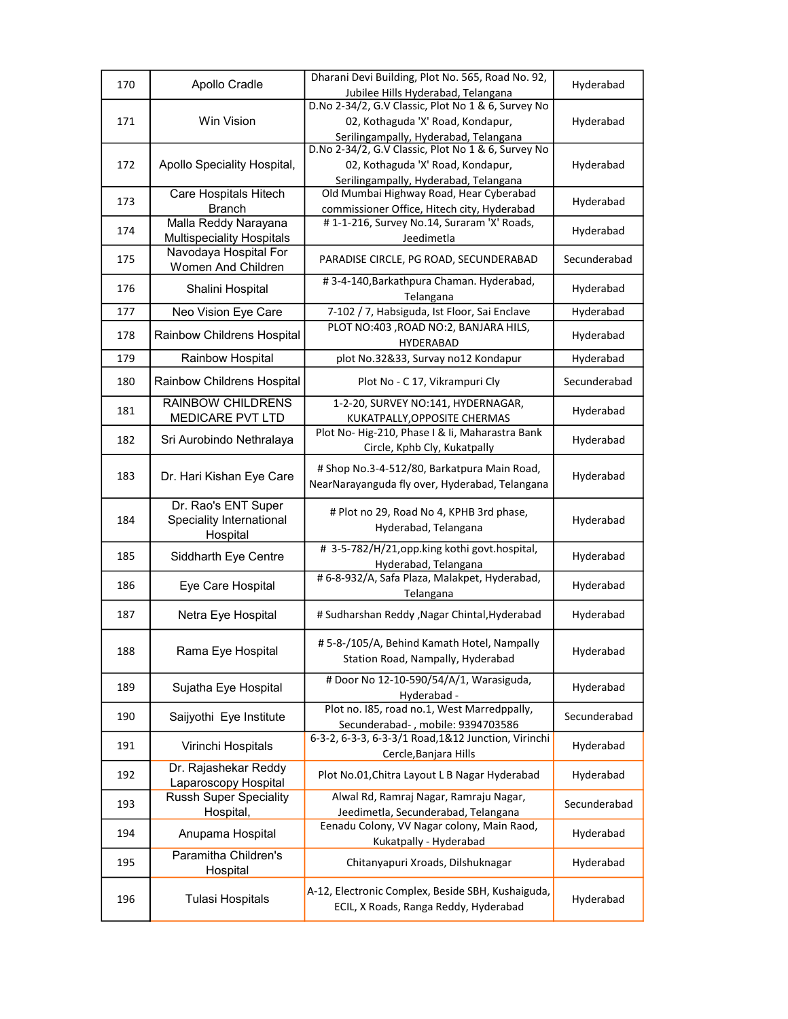| 170 | Apollo Cradle                                               | Dharani Devi Building, Plot No. 565, Road No. 92,<br>Jubilee Hills Hyderabad, Telangana                                          | Hyderabad    |
|-----|-------------------------------------------------------------|----------------------------------------------------------------------------------------------------------------------------------|--------------|
| 171 | Win Vision                                                  | D.No 2-34/2, G.V Classic, Plot No 1 & 6, Survey No<br>02, Kothaguda 'X' Road, Kondapur,<br>Serilingampally, Hyderabad, Telangana | Hyderabad    |
| 172 | Apollo Speciality Hospital,                                 | D.No 2-34/2, G.V Classic, Plot No 1 & 6, Survey No<br>02, Kothaguda 'X' Road, Kondapur,<br>Serilingampally, Hyderabad, Telangana | Hyderabad    |
| 173 | Care Hospitals Hitech<br><b>Branch</b>                      | Old Mumbai Highway Road, Hear Cyberabad<br>commissioner Office, Hitech city, Hyderabad                                           | Hyderabad    |
| 174 | Malla Reddy Narayana<br><b>Multispeciality Hospitals</b>    | #1-1-216, Survey No.14, Suraram 'X' Roads,<br>Jeedimetla                                                                         | Hyderabad    |
| 175 | Navodaya Hospital For<br>Women And Children                 | PARADISE CIRCLE, PG ROAD, SECUNDERABAD                                                                                           | Secunderabad |
| 176 | Shalini Hospital                                            | #3-4-140, Barkathpura Chaman. Hyderabad,<br>Telangana                                                                            | Hyderabad    |
| 177 | Neo Vision Eye Care                                         | 7-102 / 7, Habsiguda, Ist Floor, Sai Enclave                                                                                     | Hyderabad    |
| 178 | Rainbow Childrens Hospital                                  | PLOT NO:403, ROAD NO:2, BANJARA HILS,<br><b>HYDERABAD</b>                                                                        | Hyderabad    |
| 179 | Rainbow Hospital                                            | plot No.32&33, Survay no12 Kondapur                                                                                              | Hyderabad    |
| 180 | Rainbow Childrens Hospital                                  | Plot No - C 17, Vikrampuri Cly                                                                                                   | Secunderabad |
| 181 | <b>RAINBOW CHILDRENS</b><br><b>MEDICARE PVT LTD</b>         | 1-2-20, SURVEY NO:141, HYDERNAGAR,<br>KUKATPALLY, OPPOSITE CHERMAS                                                               | Hyderabad    |
| 182 | Sri Aurobindo Nethralaya                                    | Plot No-Hig-210, Phase I & Ii, Maharastra Bank<br>Circle, Kphb Cly, Kukatpally                                                   | Hyderabad    |
| 183 | Dr. Hari Kishan Eye Care                                    | # Shop No.3-4-512/80, Barkatpura Main Road,<br>NearNarayanguda fly over, Hyderabad, Telangana                                    | Hyderabad    |
| 184 | Dr. Rao's ENT Super<br>Speciality International<br>Hospital | # Plot no 29, Road No 4, KPHB 3rd phase,<br>Hyderabad, Telangana                                                                 | Hyderabad    |
| 185 | Siddharth Eye Centre                                        | #3-5-782/H/21, opp.king kothi govt.hospital,<br>Hyderabad, Telangana                                                             | Hyderabad    |
| 186 | Eye Care Hospital                                           | # 6-8-932/A, Safa Plaza, Malakpet, Hyderabad,<br>Telangana                                                                       | Hyderabad    |
| 187 | Netra Eye Hospital                                          | # Sudharshan Reddy , Nagar Chintal, Hyderabad                                                                                    | Hyderabad    |
| 188 | Rama Eye Hospital                                           | #5-8-/105/A, Behind Kamath Hotel, Nampally<br>Station Road, Nampally, Hyderabad                                                  | Hyderabad    |
| 189 | Sujatha Eye Hospital                                        | # Door No 12-10-590/54/A/1, Warasiguda,<br>Hyderabad -                                                                           | Hyderabad    |
| 190 | Saijyothi Eye Institute                                     | Plot no. 185, road no.1, West Marredppally,<br>Secunderabad-, mobile: 9394703586                                                 | Secunderabad |
| 191 | Virinchi Hospitals                                          | 6-3-2, 6-3-3, 6-3-3/1 Road, 1&12 Junction, Virinchi<br>Cercle, Banjara Hills                                                     | Hyderabad    |
| 192 | Dr. Rajashekar Reddy<br>Laparoscopy Hospital                | Plot No.01, Chitra Layout L B Nagar Hyderabad                                                                                    | Hyderabad    |
| 193 | <b>Russh Super Speciality</b><br>Hospital,                  | Alwal Rd, Ramraj Nagar, Ramraju Nagar,<br>Jeedimetla, Secunderabad, Telangana                                                    | Secunderabad |
| 194 | Anupama Hospital                                            | Eenadu Colony, VV Nagar colony, Main Raod,<br>Kukatpally - Hyderabad                                                             | Hyderabad    |
| 195 | Paramitha Children's<br>Hospital                            | Chitanyapuri Xroads, Dilshuknagar                                                                                                | Hyderabad    |
| 196 | <b>Tulasi Hospitals</b>                                     | A-12, Electronic Complex, Beside SBH, Kushaiguda,<br>ECIL, X Roads, Ranga Reddy, Hyderabad                                       | Hyderabad    |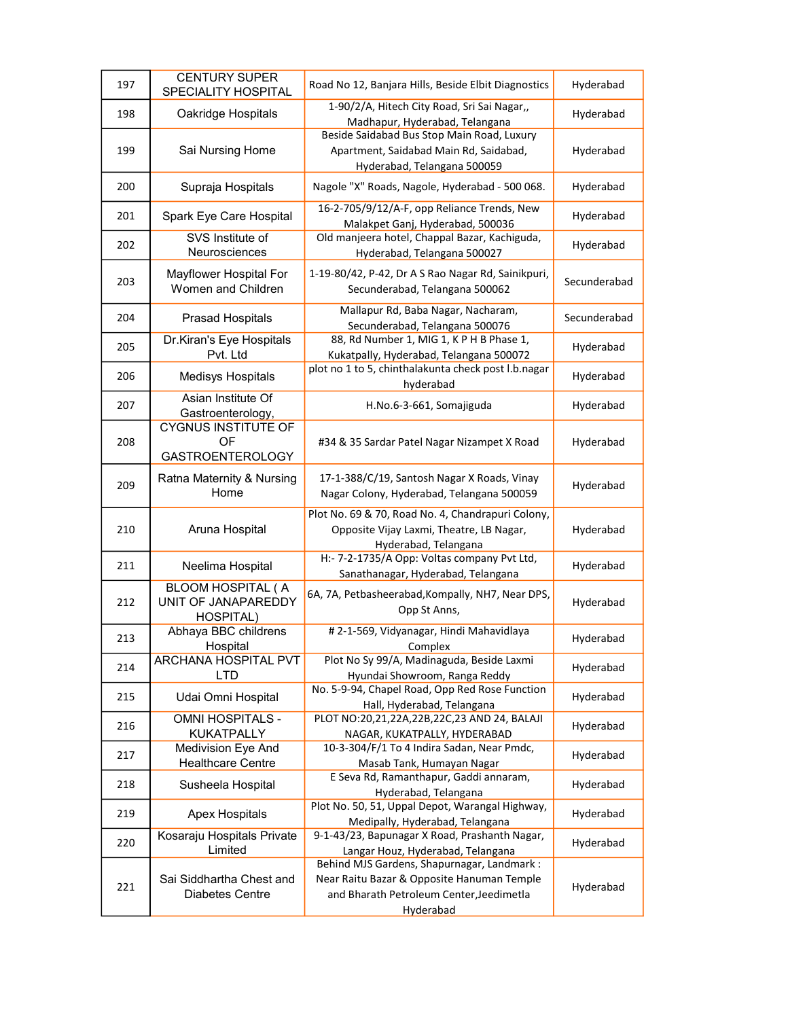| 197 | <b>CENTURY SUPER</b><br><b>SPECIALITY HOSPITAL</b>                  | Road No 12, Banjara Hills, Beside Elbit Diagnostics                                                                                               | Hyderabad    |
|-----|---------------------------------------------------------------------|---------------------------------------------------------------------------------------------------------------------------------------------------|--------------|
| 198 | Oakridge Hospitals                                                  | 1-90/2/A, Hitech City Road, Sri Sai Nagar,,<br>Madhapur, Hyderabad, Telangana                                                                     | Hyderabad    |
| 199 | Sai Nursing Home                                                    | Beside Saidabad Bus Stop Main Road, Luxury<br>Apartment, Saidabad Main Rd, Saidabad,<br>Hyderabad, Telangana 500059                               | Hyderabad    |
| 200 | Supraja Hospitals                                                   | Nagole "X" Roads, Nagole, Hyderabad - 500 068.                                                                                                    | Hyderabad    |
| 201 | Spark Eye Care Hospital                                             | 16-2-705/9/12/A-F, opp Reliance Trends, New<br>Malakpet Ganj, Hyderabad, 500036                                                                   | Hyderabad    |
| 202 | SVS Institute of<br>Neurosciences                                   | Old manjeera hotel, Chappal Bazar, Kachiguda,<br>Hyderabad, Telangana 500027                                                                      | Hyderabad    |
| 203 | Mayflower Hospital For<br>Women and Children                        | 1-19-80/42, P-42, Dr A S Rao Nagar Rd, Sainikpuri,<br>Secunderabad, Telangana 500062                                                              | Secunderabad |
| 204 | <b>Prasad Hospitals</b>                                             | Mallapur Rd, Baba Nagar, Nacharam,<br>Secunderabad, Telangana 500076                                                                              | Secunderabad |
| 205 | Dr.Kiran's Eye Hospitals<br>Pvt. Ltd                                | 88, Rd Number 1, MIG 1, KP H B Phase 1,<br>Kukatpally, Hyderabad, Telangana 500072                                                                | Hyderabad    |
| 206 | <b>Medisys Hospitals</b>                                            | plot no 1 to 5, chinthalakunta check post l.b.nagar<br>hyderabad                                                                                  | Hyderabad    |
| 207 | Asian Institute Of<br>Gastroenterology,                             | H.No.6-3-661, Somajiguda                                                                                                                          | Hyderabad    |
| 208 | <b>CYGNUS INSTITUTE OF</b><br>OF<br><b>GASTROENTEROLOGY</b>         | #34 & 35 Sardar Patel Nagar Nizampet X Road                                                                                                       | Hyderabad    |
| 209 | Ratna Maternity & Nursing<br>Home                                   | 17-1-388/C/19, Santosh Nagar X Roads, Vinay<br>Nagar Colony, Hyderabad, Telangana 500059                                                          | Hyderabad    |
| 210 | Aruna Hospital                                                      | Plot No. 69 & 70, Road No. 4, Chandrapuri Colony,<br>Opposite Vijay Laxmi, Theatre, LB Nagar,<br>Hyderabad, Telangana                             | Hyderabad    |
| 211 | Neelima Hospital                                                    | H:- 7-2-1735/A Opp: Voltas company Pvt Ltd,<br>Sanathanagar, Hyderabad, Telangana                                                                 | Hyderabad    |
| 212 | <b>BLOOM HOSPITAL (A</b><br>UNIT OF JANAPAREDDY<br><b>HOSPITAL)</b> | 6A, 7A, Petbasheerabad, Kompally, NH7, Near DPS,<br>Opp St Anns,                                                                                  | Hyderabad    |
| 213 | Abhaya BBC childrens<br>Hospital                                    | #2-1-569, Vidyanagar, Hindi Mahavidlaya<br>Complex                                                                                                | Hyderabad    |
| 214 | ARCHANA HOSPITAL PVT<br><b>LTD</b>                                  | Plot No Sy 99/A, Madinaguda, Beside Laxmi<br>Hyundai Showroom, Ranga Reddy                                                                        | Hyderabad    |
| 215 | Udai Omni Hospital                                                  | No. 5-9-94, Chapel Road, Opp Red Rose Function<br>Hall, Hyderabad, Telangana                                                                      | Hyderabad    |
| 216 | OMNI HOSPITALS -<br><b>KUKATPALLY</b>                               | PLOT NO:20,21,22A,22B,22C,23 AND 24, BALAJI<br>NAGAR, KUKATPALLY, HYDERABAD                                                                       | Hyderabad    |
| 217 | <b>Medivision Eye And</b><br><b>Healthcare Centre</b>               | 10-3-304/F/1 To 4 Indira Sadan, Near Pmdc,<br>Masab Tank, Humayan Nagar                                                                           | Hyderabad    |
| 218 | Susheela Hospital                                                   | E Seva Rd, Ramanthapur, Gaddi annaram,<br>Hyderabad, Telangana                                                                                    | Hyderabad    |
| 219 | <b>Apex Hospitals</b>                                               | Plot No. 50, 51, Uppal Depot, Warangal Highway,<br>Medipally, Hyderabad, Telangana                                                                | Hyderabad    |
| 220 | Kosaraju Hospitals Private<br>Limited                               | 9-1-43/23, Bapunagar X Road, Prashanth Nagar,<br>Langar Houz, Hyderabad, Telangana                                                                | Hyderabad    |
| 221 | Sai Siddhartha Chest and<br>Diabetes Centre                         | Behind MJS Gardens, Shapurnagar, Landmark:<br>Near Raitu Bazar & Opposite Hanuman Temple<br>and Bharath Petroleum Center, Jeedimetla<br>Hyderabad | Hyderabad    |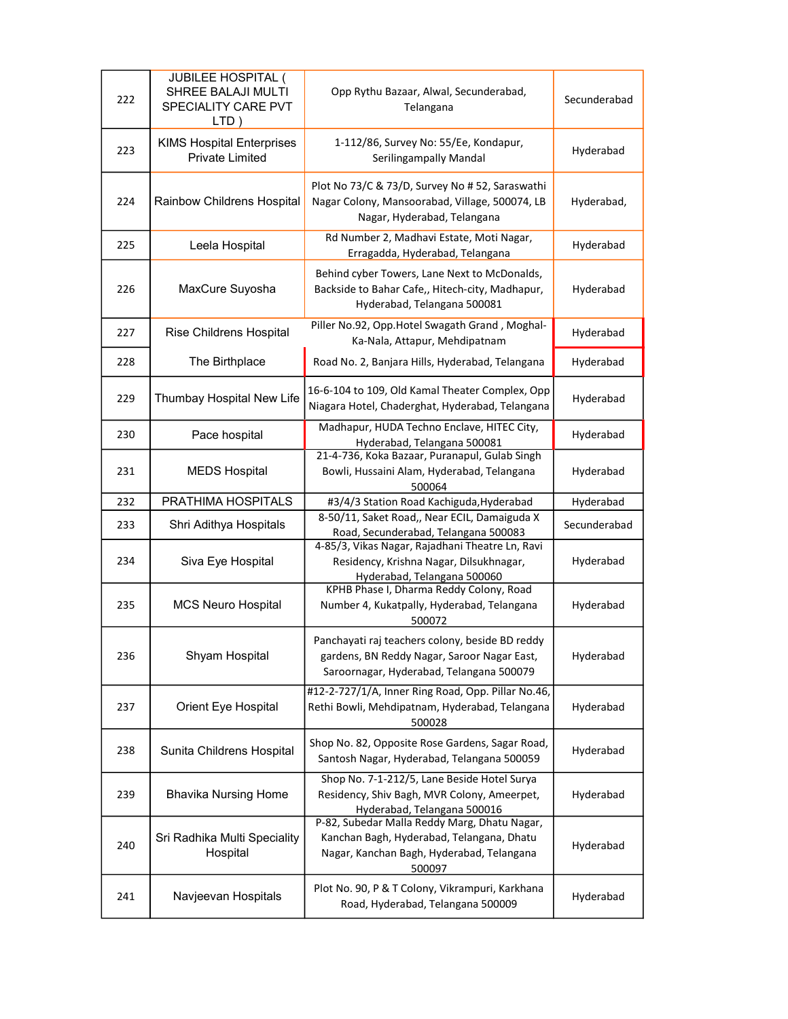| 222 | <b>JUBILEE HOSPITAL (</b><br>SHREE BALAJI MULTI<br>SPECIALITY CARE PVT<br>LTD) | Opp Rythu Bazaar, Alwal, Secunderabad,<br>Telangana                                                                                              | Secunderabad |
|-----|--------------------------------------------------------------------------------|--------------------------------------------------------------------------------------------------------------------------------------------------|--------------|
| 223 | <b>KIMS Hospital Enterprises</b><br><b>Private Limited</b>                     | 1-112/86, Survey No: 55/Ee, Kondapur,<br>Serilingampally Mandal                                                                                  | Hyderabad    |
| 224 | <b>Rainbow Childrens Hospital</b>                                              | Plot No 73/C & 73/D, Survey No #52, Saraswathi<br>Nagar Colony, Mansoorabad, Village, 500074, LB<br>Nagar, Hyderabad, Telangana                  | Hyderabad,   |
| 225 | Leela Hospital                                                                 | Rd Number 2, Madhavi Estate, Moti Nagar,<br>Erragadda, Hyderabad, Telangana                                                                      | Hyderabad    |
| 226 | MaxCure Suyosha                                                                | Behind cyber Towers, Lane Next to McDonalds,<br>Backside to Bahar Cafe,, Hitech-city, Madhapur,<br>Hyderabad, Telangana 500081                   | Hyderabad    |
| 227 | Rise Childrens Hospital                                                        | Piller No.92, Opp. Hotel Swagath Grand, Moghal-<br>Ka-Nala, Attapur, Mehdipatnam                                                                 | Hyderabad    |
| 228 | The Birthplace                                                                 | Road No. 2, Banjara Hills, Hyderabad, Telangana                                                                                                  | Hyderabad    |
| 229 | Thumbay Hospital New Life                                                      | 16-6-104 to 109, Old Kamal Theater Complex, Opp<br>Niagara Hotel, Chaderghat, Hyderabad, Telangana                                               | Hyderabad    |
| 230 | Pace hospital                                                                  | Madhapur, HUDA Techno Enclave, HITEC City,<br>Hyderabad, Telangana 500081                                                                        | Hyderabad    |
| 231 | <b>MEDS Hospital</b>                                                           | 21-4-736, Koka Bazaar, Puranapul, Gulab Singh<br>Bowli, Hussaini Alam, Hyderabad, Telangana<br>500064                                            | Hyderabad    |
|     |                                                                                |                                                                                                                                                  |              |
| 232 | PRATHIMA HOSPITALS                                                             | #3/4/3 Station Road Kachiguda, Hyderabad                                                                                                         | Hyderabad    |
| 233 | Shri Adithya Hospitals                                                         | 8-50/11, Saket Road,, Near ECIL, Damaiguda X<br>Road, Secunderabad, Telangana 500083                                                             | Secunderabad |
| 234 | Siva Eye Hospital                                                              | 4-85/3, Vikas Nagar, Rajadhani Theatre Ln, Ravi<br>Residency, Krishna Nagar, Dilsukhnagar,<br>Hyderabad, Telangana 500060                        | Hyderabad    |
| 235 | <b>MCS Neuro Hospital</b>                                                      | KPHB Phase I, Dharma Reddy Colony, Road<br>Number 4, Kukatpally, Hyderabad, Telangana<br>500072                                                  | Hyderabad    |
| 236 | Shyam Hospital                                                                 | Panchayati raj teachers colony, beside BD reddy<br>gardens, BN Reddy Nagar, Saroor Nagar East,<br>Saroornagar, Hyderabad, Telangana 500079       | Hyderabad    |
| 237 | Orient Eye Hospital                                                            | #12-2-727/1/A, Inner Ring Road, Opp. Pillar No.46,<br>Rethi Bowli, Mehdipatnam, Hyderabad, Telangana<br>500028                                   | Hyderabad    |
| 238 | Sunita Childrens Hospital                                                      | Shop No. 82, Opposite Rose Gardens, Sagar Road,<br>Santosh Nagar, Hyderabad, Telangana 500059                                                    | Hyderabad    |
| 239 | <b>Bhavika Nursing Home</b>                                                    | Shop No. 7-1-212/5, Lane Beside Hotel Surya<br>Residency, Shiv Bagh, MVR Colony, Ameerpet,<br>Hyderabad, Telangana 500016                        | Hyderabad    |
| 240 | Sri Radhika Multi Speciality<br>Hospital                                       | P-82, Subedar Malla Reddy Marg, Dhatu Nagar,<br>Kanchan Bagh, Hyderabad, Telangana, Dhatu<br>Nagar, Kanchan Bagh, Hyderabad, Telangana<br>500097 | Hyderabad    |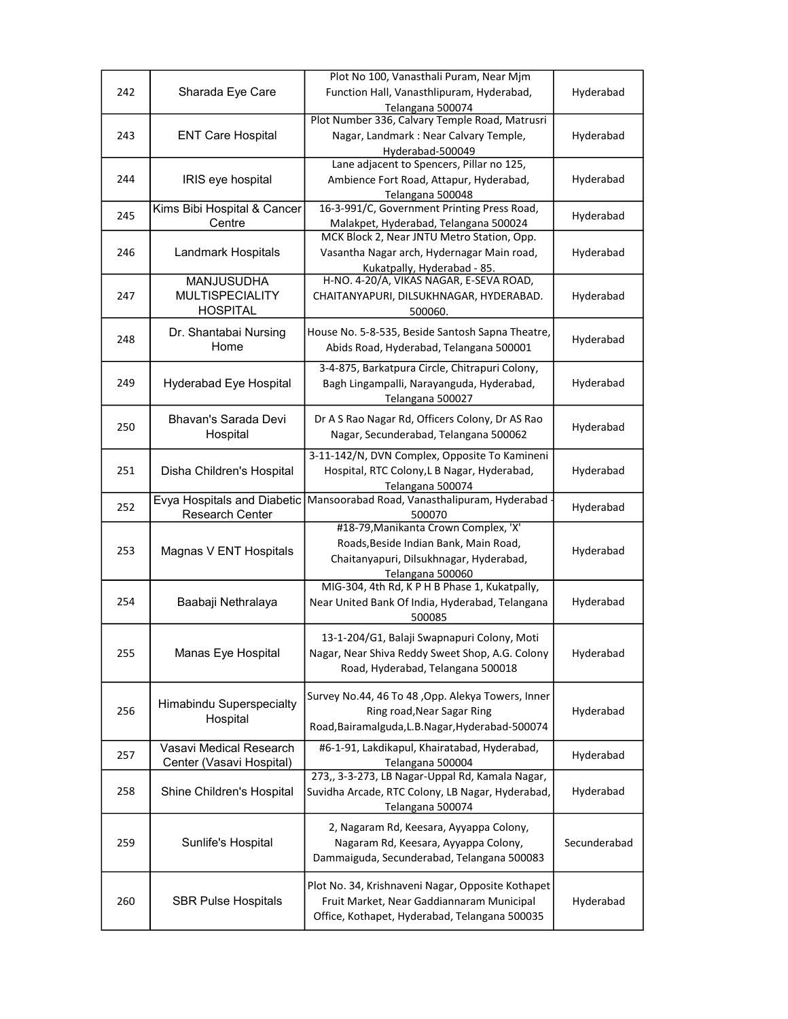|     |                             | Plot No 100, Vanasthali Puram, Near Mjm                                                        |              |
|-----|-----------------------------|------------------------------------------------------------------------------------------------|--------------|
| 242 | Sharada Eye Care            | Function Hall, Vanasthlipuram, Hyderabad,<br>Telangana 500074                                  | Hyderabad    |
|     |                             | Plot Number 336, Calvary Temple Road, Matrusri                                                 |              |
| 243 | <b>ENT Care Hospital</b>    | Nagar, Landmark: Near Calvary Temple,                                                          | Hyderabad    |
|     |                             | Hyderabad-500049                                                                               |              |
|     |                             | Lane adjacent to Spencers, Pillar no 125,                                                      |              |
| 244 | IRIS eye hospital           | Ambience Fort Road, Attapur, Hyderabad,                                                        | Hyderabad    |
|     | Kims Bibi Hospital & Cancer | Telangana 500048<br>16-3-991/C, Government Printing Press Road,                                |              |
| 245 | Centre                      | Malakpet, Hyderabad, Telangana 500024                                                          | Hyderabad    |
|     |                             | MCK Block 2, Near JNTU Metro Station, Opp.                                                     |              |
| 246 | Landmark Hospitals          | Vasantha Nagar arch, Hydernagar Main road,                                                     | Hyderabad    |
|     |                             | Kukatpally, Hyderabad - 85.                                                                    |              |
|     | <b>MANJUSUDHA</b>           | H-NO. 4-20/A, VIKAS NAGAR, E-SEVA ROAD,                                                        |              |
| 247 | <b>MULTISPECIALITY</b>      | CHAITANYAPURI, DILSUKHNAGAR, HYDERABAD.                                                        | Hyderabad    |
|     | <b>HOSPITAL</b>             | 500060.                                                                                        |              |
| 248 | Dr. Shantabai Nursing       | House No. 5-8-535, Beside Santosh Sapna Theatre,                                               | Hyderabad    |
|     | Home                        | Abids Road, Hyderabad, Telangana 500001                                                        |              |
|     |                             | 3-4-875, Barkatpura Circle, Chitrapuri Colony,                                                 |              |
| 249 | Hyderabad Eye Hospital      | Bagh Lingampalli, Narayanguda, Hyderabad,                                                      | Hyderabad    |
|     |                             | Telangana 500027                                                                               |              |
| 250 | Bhavan's Sarada Devi        | Dr A S Rao Nagar Rd, Officers Colony, Dr AS Rao                                                | Hyderabad    |
|     | Hospital                    | Nagar, Secunderabad, Telangana 500062                                                          |              |
|     |                             | 3-11-142/N, DVN Complex, Opposite To Kamineni                                                  |              |
| 251 | Disha Children's Hospital   | Hospital, RTC Colony, L B Nagar, Hyderabad,                                                    | Hyderabad    |
|     |                             | Telangana 500074                                                                               |              |
| 252 | Evya Hospitals and Diabetic | Mansoorabad Road, Vanasthalipuram, Hyderabad                                                   | Hyderabad    |
|     | Research Center             | 500070<br>#18-79, Manikanta Crown Complex, 'X'                                                 |              |
|     |                             | Roads, Beside Indian Bank, Main Road,                                                          |              |
| 253 | Magnas V ENT Hospitals      | Chaitanyapuri, Dilsukhnagar, Hyderabad,                                                        | Hyderabad    |
|     |                             | Telangana 500060                                                                               |              |
|     |                             | MIG-304, 4th Rd, K P H B Phase 1, Kukatpally,                                                  |              |
| 254 | Baabaji Nethralaya          | Near United Bank Of India, Hyderabad, Telangana                                                | Hyderabad    |
|     |                             | 500085                                                                                         |              |
|     |                             | 13-1-204/G1, Balaji Swapnapuri Colony, Moti                                                    |              |
| 255 | Manas Eye Hospital          | Nagar, Near Shiva Reddy Sweet Shop, A.G. Colony                                                | Hyderabad    |
|     |                             | Road, Hyderabad, Telangana 500018                                                              |              |
|     |                             | Survey No.44, 46 To 48, Opp. Alekya Towers, Inner                                              |              |
| 256 | Himabindu Superspecialty    | Ring road, Near Sagar Ring                                                                     | Hyderabad    |
|     | Hospital                    | Road, Bairamalguda, L.B. Nagar, Hyderabad-500074                                               |              |
|     | Vasavi Medical Research     | #6-1-91, Lakdikapul, Khairatabad, Hyderabad,                                                   |              |
| 257 | Center (Vasavi Hospital)    | Telangana 500004                                                                               | Hyderabad    |
|     |                             | 273,, 3-3-273, LB Nagar-Uppal Rd, Kamala Nagar,                                                |              |
| 258 | Shine Children's Hospital   | Suvidha Arcade, RTC Colony, LB Nagar, Hyderabad,                                               | Hyderabad    |
|     |                             | Telangana 500074                                                                               |              |
|     |                             | 2, Nagaram Rd, Keesara, Ayyappa Colony,                                                        |              |
| 259 | Sunlife's Hospital          | Nagaram Rd, Keesara, Ayyappa Colony,                                                           | Secunderabad |
|     |                             | Dammaiguda, Secunderabad, Telangana 500083                                                     |              |
|     |                             |                                                                                                |              |
| 260 | <b>SBR Pulse Hospitals</b>  | Plot No. 34, Krishnaveni Nagar, Opposite Kothapet<br>Fruit Market, Near Gaddiannaram Municipal | Hyderabad    |
|     |                             | Office, Kothapet, Hyderabad, Telangana 500035                                                  |              |
|     |                             |                                                                                                |              |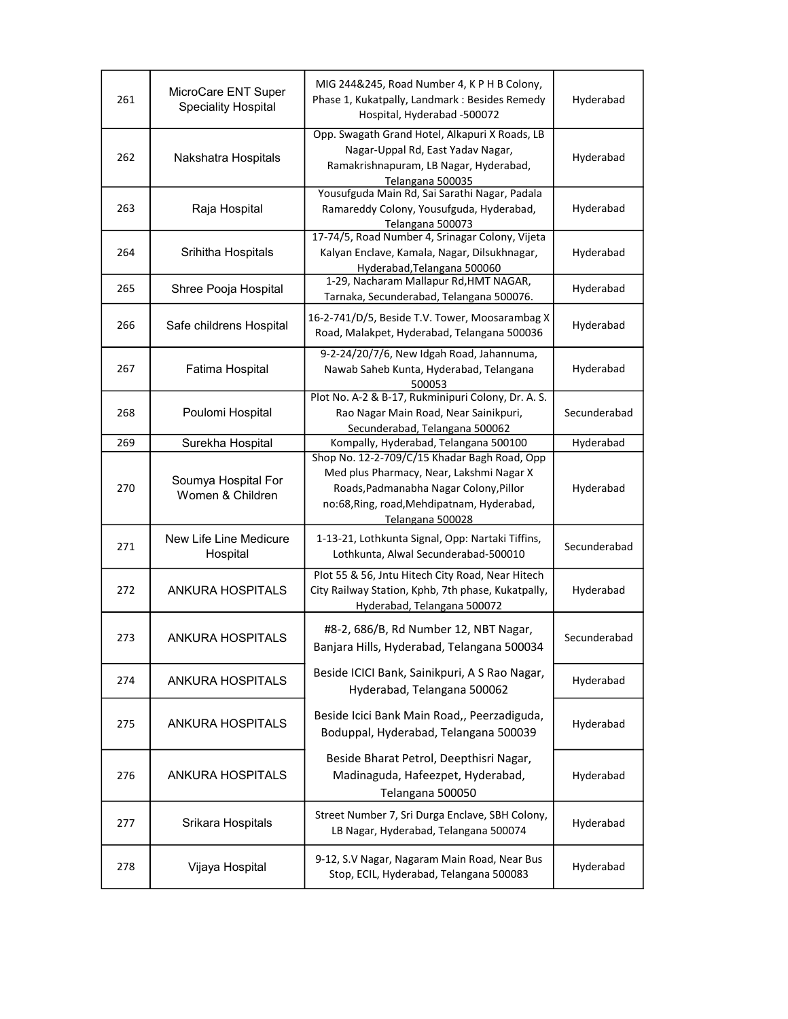| 261 | MicroCare ENT Super<br><b>Speciality Hospital</b> | MIG 244&245, Road Number 4, K P H B Colony,<br>Phase 1, Kukatpally, Landmark: Besides Remedy<br>Hospital, Hyderabad -500072                                                                          | Hyderabad    |
|-----|---------------------------------------------------|------------------------------------------------------------------------------------------------------------------------------------------------------------------------------------------------------|--------------|
| 262 | Nakshatra Hospitals                               | Opp. Swagath Grand Hotel, Alkapuri X Roads, LB<br>Nagar-Uppal Rd, East Yadav Nagar,<br>Ramakrishnapuram, LB Nagar, Hyderabad,<br>Telangana 500035                                                    | Hyderabad    |
| 263 | Raja Hospital                                     | Yousufguda Main Rd, Sai Sarathi Nagar, Padala<br>Ramareddy Colony, Yousufguda, Hyderabad,<br>Telangana 500073                                                                                        | Hyderabad    |
| 264 | Srihitha Hospitals                                | 17-74/5, Road Number 4, Srinagar Colony, Vijeta<br>Kalyan Enclave, Kamala, Nagar, Dilsukhnagar,<br>Hyderabad, Telangana 500060                                                                       | Hyderabad    |
| 265 | Shree Pooja Hospital                              | 1-29, Nacharam Mallapur Rd, HMT NAGAR,<br>Tarnaka, Secunderabad, Telangana 500076.                                                                                                                   | Hyderabad    |
| 266 | Safe childrens Hospital                           | 16-2-741/D/5, Beside T.V. Tower, Moosarambag X<br>Road, Malakpet, Hyderabad, Telangana 500036                                                                                                        | Hyderabad    |
| 267 | Fatima Hospital                                   | 9-2-24/20/7/6, New Idgah Road, Jahannuma,<br>Nawab Saheb Kunta, Hyderabad, Telangana<br>500053                                                                                                       | Hyderabad    |
| 268 | Poulomi Hospital                                  | Plot No. A-2 & B-17, Rukminipuri Colony, Dr. A. S.<br>Rao Nagar Main Road, Near Sainikpuri,<br>Secunderabad, Telangana 500062                                                                        | Secunderabad |
| 269 | Surekha Hospital                                  | Kompally, Hyderabad, Telangana 500100                                                                                                                                                                | Hyderabad    |
| 270 | Soumya Hospital For<br>Women & Children           | Shop No. 12-2-709/C/15 Khadar Bagh Road, Opp<br>Med plus Pharmacy, Near, Lakshmi Nagar X<br>Roads, Padmanabha Nagar Colony, Pillor<br>no:68, Ring, road, Mehdipatnam, Hyderabad,<br>Telangana 500028 | Hyderabad    |
| 271 | New Life Line Medicure<br>Hospital                | 1-13-21, Lothkunta Signal, Opp: Nartaki Tiffins,<br>Lothkunta, Alwal Secunderabad-500010                                                                                                             | Secunderabad |
| 272 | <b>ANKURA HOSPITALS</b>                           | Plot 55 & 56, Jntu Hitech City Road, Near Hitech<br>City Railway Station, Kphb, 7th phase, Kukatpally,<br>Hyderabad, Telangana 500072                                                                | Hyderabad    |
| 273 | <b>ANKURA HOSPITALS</b>                           | #8-2, 686/B, Rd Number 12, NBT Nagar,<br>Banjara Hills, Hyderabad, Telangana 500034                                                                                                                  | Secunderabad |
| 274 | <b>ANKURA HOSPITALS</b>                           | Beside ICICI Bank, Sainikpuri, A S Rao Nagar,<br>Hyderabad, Telangana 500062                                                                                                                         | Hyderabad    |
| 275 | ANKURA HOSPITALS                                  | Beside Icici Bank Main Road,, Peerzadiguda,<br>Boduppal, Hyderabad, Telangana 500039                                                                                                                 | Hyderabad    |
| 276 | <b>ANKURA HOSPITALS</b>                           | Beside Bharat Petrol, Deepthisri Nagar,<br>Madinaguda, Hafeezpet, Hyderabad,<br>Telangana 500050                                                                                                     | Hyderabad    |
| 277 | Srikara Hospitals                                 | Street Number 7, Sri Durga Enclave, SBH Colony,<br>LB Nagar, Hyderabad, Telangana 500074                                                                                                             | Hyderabad    |
| 278 | Vijaya Hospital                                   | 9-12, S.V Nagar, Nagaram Main Road, Near Bus<br>Stop, ECIL, Hyderabad, Telangana 500083                                                                                                              | Hyderabad    |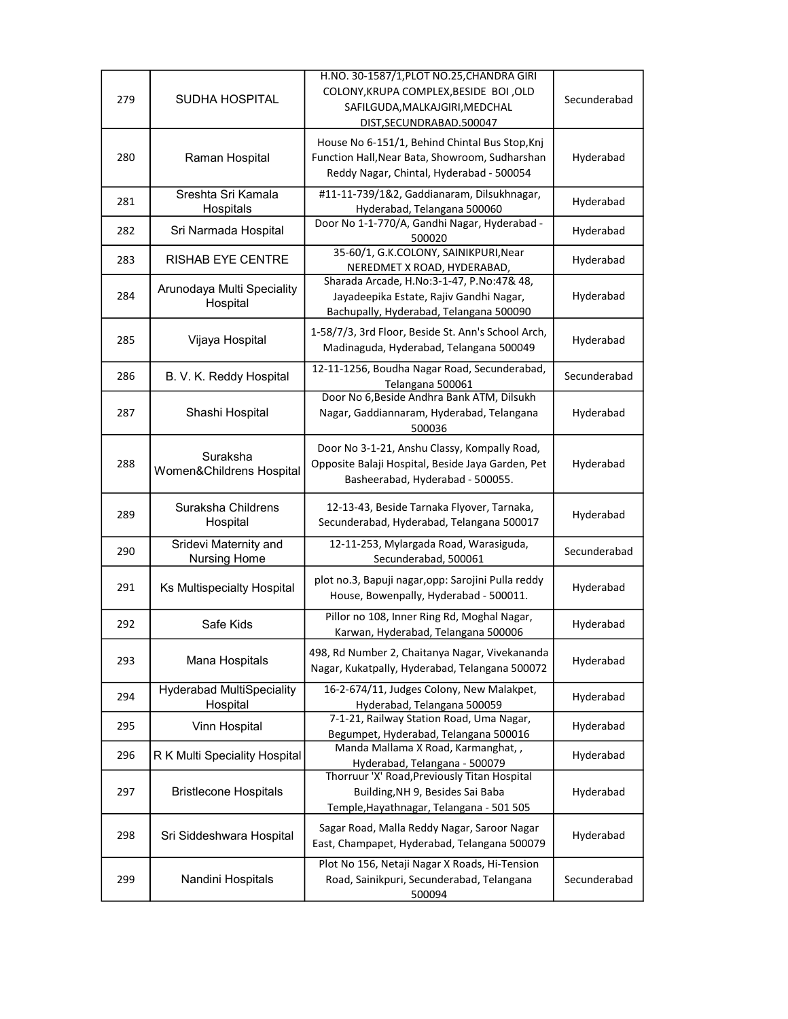| 279 | <b>SUDHA HOSPITAL</b>                        | H.NO. 30-1587/1, PLOT NO.25, CHANDRA GIRI<br>COLONY, KRUPA COMPLEX, BESIDE BOI, OLD<br>SAFILGUDA, MALKAJGIRI, MEDCHAL<br>DIST, SECUNDRABAD. 500047 | Secunderabad |
|-----|----------------------------------------------|----------------------------------------------------------------------------------------------------------------------------------------------------|--------------|
| 280 | Raman Hospital                               | House No 6-151/1, Behind Chintal Bus Stop, Knj<br>Function Hall, Near Bata, Showroom, Sudharshan<br>Reddy Nagar, Chintal, Hyderabad - 500054       | Hyderabad    |
| 281 | Sreshta Sri Kamala<br>Hospitals              | #11-11-739/1&2, Gaddianaram, Dilsukhnagar,<br>Hyderabad, Telangana 500060                                                                          | Hyderabad    |
| 282 | Sri Narmada Hospital                         | Door No 1-1-770/A, Gandhi Nagar, Hyderabad -<br>500020                                                                                             | Hyderabad    |
| 283 | RISHAB EYE CENTRE                            | 35-60/1, G.K.COLONY, SAINIKPURI, Near<br>NEREDMET X ROAD, HYDERABAD,                                                                               | Hyderabad    |
| 284 | Arunodaya Multi Speciality<br>Hospital       | Sharada Arcade, H.No:3-1-47, P.No:47& 48,<br>Jayadeepika Estate, Rajiv Gandhi Nagar,<br>Bachupally, Hyderabad, Telangana 500090                    | Hyderabad    |
| 285 | Vijaya Hospital                              | 1-58/7/3, 3rd Floor, Beside St. Ann's School Arch,<br>Madinaguda, Hyderabad, Telangana 500049                                                      | Hyderabad    |
| 286 | B. V. K. Reddy Hospital                      | 12-11-1256, Boudha Nagar Road, Secunderabad,<br>Telangana 500061                                                                                   | Secunderabad |
| 287 | Shashi Hospital                              | Door No 6, Beside Andhra Bank ATM, Dilsukh<br>Nagar, Gaddiannaram, Hyderabad, Telangana<br>500036                                                  | Hyderabad    |
| 288 | Suraksha<br>Women&Childrens Hospital         | Door No 3-1-21, Anshu Classy, Kompally Road,<br>Opposite Balaji Hospital, Beside Jaya Garden, Pet<br>Basheerabad, Hyderabad - 500055.              | Hyderabad    |
| 289 | Suraksha Childrens<br>Hospital               | 12-13-43, Beside Tarnaka Flyover, Tarnaka,<br>Secunderabad, Hyderabad, Telangana 500017                                                            | Hyderabad    |
| 290 | Sridevi Maternity and<br><b>Nursing Home</b> | 12-11-253, Mylargada Road, Warasiguda,<br>Secunderabad, 500061                                                                                     | Secunderabad |
| 291 | <b>Ks Multispecialty Hospital</b>            | plot no.3, Bapuji nagar, opp: Sarojini Pulla reddy<br>House, Bowenpally, Hyderabad - 500011.                                                       | Hyderabad    |
| 292 | Safe Kids                                    | Pillor no 108, Inner Ring Rd, Moghal Nagar,<br>Karwan, Hyderabad, Telangana 500006                                                                 | Hyderabad    |
| 293 | Mana Hospitals                               | 498, Rd Number 2, Chaitanya Nagar, Vivekananda<br>Nagar, Kukatpally, Hyderabad, Telangana 500072                                                   | Hyderabad    |
| 294 | <b>Hyderabad MultiSpeciality</b><br>Hospital | 16-2-674/11, Judges Colony, New Malakpet,<br>Hyderabad, Telangana 500059                                                                           | Hyderabad    |
| 295 | Vinn Hospital                                | 7-1-21, Railway Station Road, Uma Nagar,<br>Begumpet, Hyderabad, Telangana 500016                                                                  | Hyderabad    |
| 296 | R K Multi Speciality Hospital                | Manda Mallama X Road, Karmanghat,,<br>Hyderabad, Telangana - 500079                                                                                | Hyderabad    |
| 297 | <b>Bristlecone Hospitals</b>                 | Thorruur 'X' Road, Previously Titan Hospital<br>Building, NH 9, Besides Sai Baba<br>Temple, Hayathnagar, Telangana - 501 505                       | Hyderabad    |
| 298 | Sri Siddeshwara Hospital                     | Sagar Road, Malla Reddy Nagar, Saroor Nagar<br>East, Champapet, Hyderabad, Telangana 500079                                                        | Hyderabad    |
| 299 | Nandini Hospitals                            | Plot No 156, Netaji Nagar X Roads, Hi-Tension<br>Road, Sainikpuri, Secunderabad, Telangana<br>500094                                               | Secunderabad |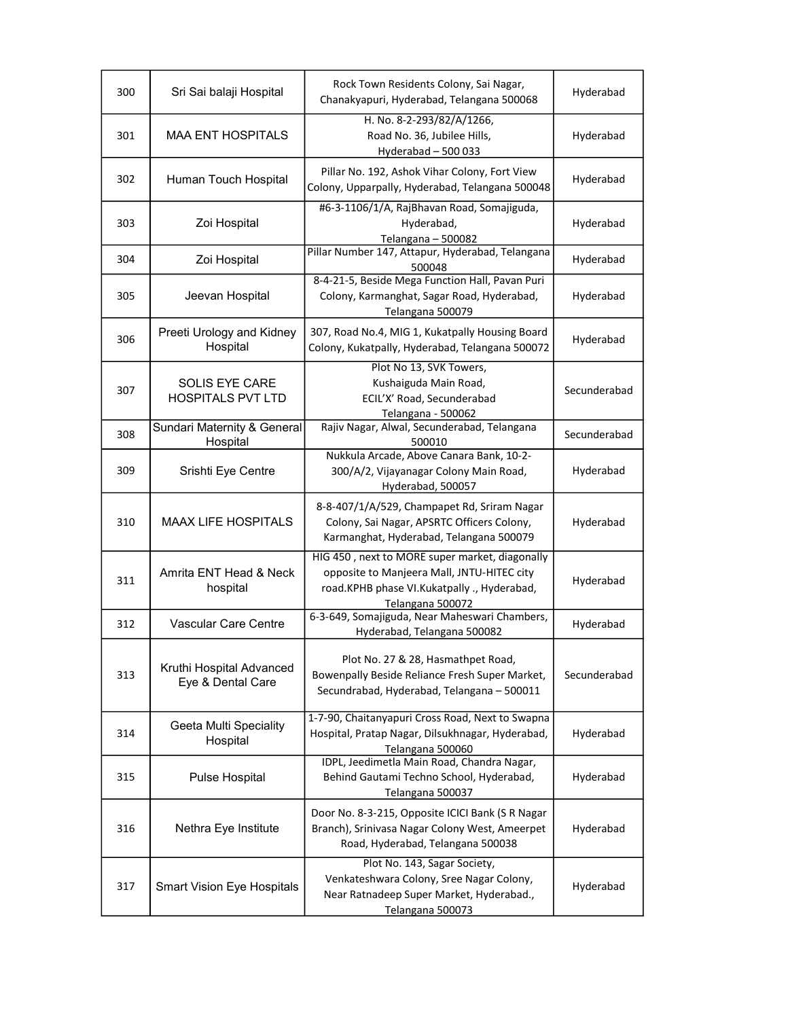| 300 | Sri Sai balaji Hospital                           | Rock Town Residents Colony, Sai Nagar,<br>Chanakyapuri, Hyderabad, Telangana 500068                                                                             | Hyderabad    |
|-----|---------------------------------------------------|-----------------------------------------------------------------------------------------------------------------------------------------------------------------|--------------|
| 301 | <b>MAA ENT HOSPITALS</b>                          | H. No. 8-2-293/82/A/1266,<br>Road No. 36, Jubilee Hills,<br>Hyderabad - 500 033                                                                                 | Hyderabad    |
| 302 | Human Touch Hospital                              | Pillar No. 192, Ashok Vihar Colony, Fort View<br>Colony, Upparpally, Hyderabad, Telangana 500048                                                                | Hyderabad    |
| 303 | Zoi Hospital                                      | #6-3-1106/1/A, RajBhavan Road, Somajiguda,<br>Hyderabad,<br>Telangana-500082                                                                                    | Hyderabad    |
| 304 | Zoi Hospital                                      | Pillar Number 147, Attapur, Hyderabad, Telangana<br>500048                                                                                                      | Hyderabad    |
| 305 | Jeevan Hospital                                   | 8-4-21-5, Beside Mega Function Hall, Pavan Puri<br>Colony, Karmanghat, Sagar Road, Hyderabad,<br>Telangana 500079                                               | Hyderabad    |
| 306 | Preeti Urology and Kidney<br>Hospital             | 307, Road No.4, MIG 1, Kukatpally Housing Board<br>Colony, Kukatpally, Hyderabad, Telangana 500072                                                              | Hyderabad    |
| 307 | <b>SOLIS EYE CARE</b><br><b>HOSPITALS PVT LTD</b> | Plot No 13, SVK Towers,<br>Kushaiguda Main Road,<br>ECIL'X' Road, Secunderabad<br>Telangana - 500062                                                            | Secunderabad |
| 308 | Sundari Maternity & General<br>Hospital           | Rajiv Nagar, Alwal, Secunderabad, Telangana<br>500010                                                                                                           | Secunderabad |
| 309 | Srishti Eye Centre                                | Nukkula Arcade, Above Canara Bank, 10-2-<br>300/A/2, Vijayanagar Colony Main Road,<br>Hyderabad, 500057                                                         | Hyderabad    |
| 310 | <b>MAAX LIFE HOSPITALS</b>                        | 8-8-407/1/A/529, Champapet Rd, Sriram Nagar<br>Colony, Sai Nagar, APSRTC Officers Colony,<br>Karmanghat, Hyderabad, Telangana 500079                            | Hyderabad    |
| 311 | Amrita ENT Head & Neck<br>hospital                | HIG 450, next to MORE super market, diagonally<br>opposite to Manjeera Mall, JNTU-HITEC city<br>road.KPHB phase VI.Kukatpally ., Hyderabad,<br>Telangana 500072 | Hyderabad    |
| 312 | <b>Vascular Care Centre</b>                       | 6-3-649, Somajiguda, Near Maheswari Chambers,<br>Hyderabad, Telangana 500082                                                                                    | Hyderabad    |
| 313 | Kruthi Hospital Advanced<br>Eye & Dental Care     | Plot No. 27 & 28, Hasmathpet Road,<br>Bowenpally Beside Reliance Fresh Super Market,<br>Secundrabad, Hyderabad, Telangana - 500011                              | Secunderabad |
| 314 | Geeta Multi Speciality<br>Hospital                | 1-7-90, Chaitanyapuri Cross Road, Next to Swapna<br>Hospital, Pratap Nagar, Dilsukhnagar, Hyderabad,<br>Telangana 500060                                        | Hyderabad    |
| 315 | Pulse Hospital                                    | IDPL, Jeedimetla Main Road, Chandra Nagar,<br>Behind Gautami Techno School, Hyderabad,<br>Telangana 500037                                                      | Hyderabad    |
| 316 | Nethra Eye Institute                              | Door No. 8-3-215, Opposite ICICI Bank (S R Nagar<br>Branch), Srinivasa Nagar Colony West, Ameerpet<br>Road, Hyderabad, Telangana 500038                         | Hyderabad    |
| 317 | <b>Smart Vision Eye Hospitals</b>                 | Plot No. 143, Sagar Society,<br>Venkateshwara Colony, Sree Nagar Colony,<br>Near Ratnadeep Super Market, Hyderabad.,<br>Telangana 500073                        | Hyderabad    |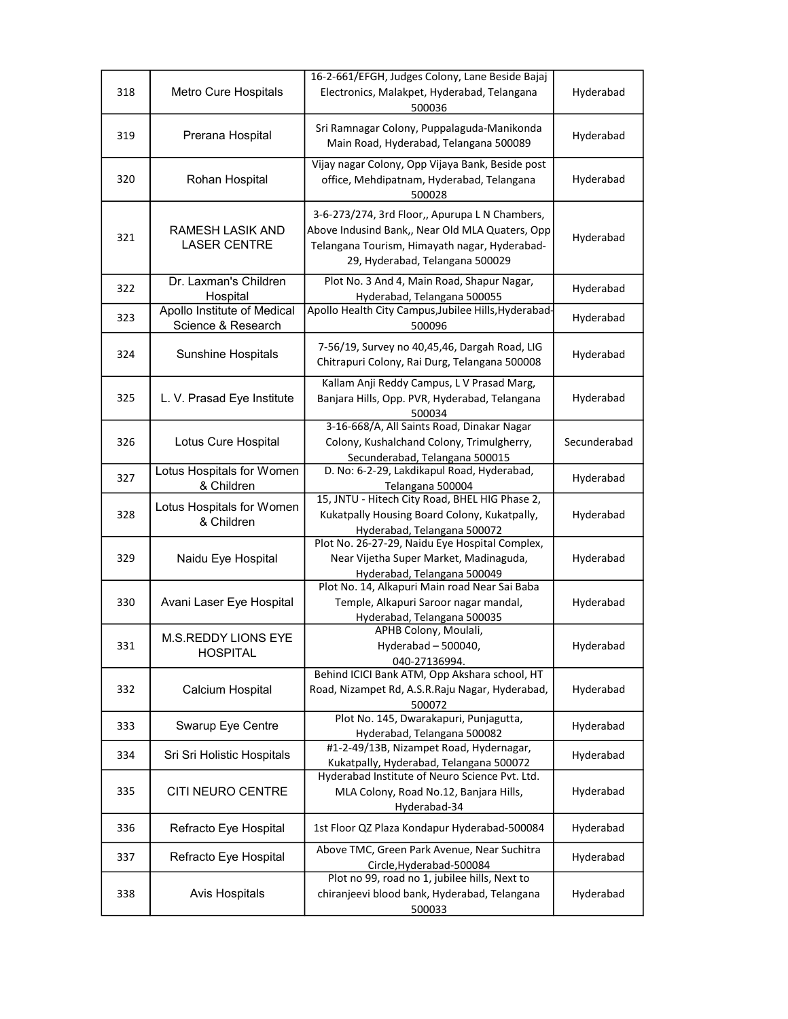|     |                                                   | 16-2-661/EFGH, Judges Colony, Lane Beside Bajaj                                                                                                                                       |              |
|-----|---------------------------------------------------|---------------------------------------------------------------------------------------------------------------------------------------------------------------------------------------|--------------|
| 318 | Metro Cure Hospitals                              | Electronics, Malakpet, Hyderabad, Telangana<br>500036                                                                                                                                 | Hyderabad    |
| 319 | Prerana Hospital                                  | Sri Ramnagar Colony, Puppalaguda-Manikonda<br>Main Road, Hyderabad, Telangana 500089                                                                                                  | Hyderabad    |
| 320 | Rohan Hospital                                    | Vijay nagar Colony, Opp Vijaya Bank, Beside post<br>office, Mehdipatnam, Hyderabad, Telangana<br>500028                                                                               | Hyderabad    |
| 321 | RAMESH LASIK AND<br><b>LASER CENTRE</b>           | 3-6-273/274, 3rd Floor,, Apurupa L N Chambers,<br>Above Indusind Bank,, Near Old MLA Quaters, Opp<br>Telangana Tourism, Himayath nagar, Hyderabad-<br>29, Hyderabad, Telangana 500029 | Hyderabad    |
| 322 | Dr. Laxman's Children<br>Hospital                 | Plot No. 3 And 4, Main Road, Shapur Nagar,<br>Hyderabad, Telangana 500055                                                                                                             | Hyderabad    |
| 323 | Apollo Institute of Medical<br>Science & Research | Apollo Health City Campus, Jubilee Hills, Hyderabad-<br>500096                                                                                                                        | Hyderabad    |
| 324 | <b>Sunshine Hospitals</b>                         | 7-56/19, Survey no 40,45,46, Dargah Road, LIG<br>Chitrapuri Colony, Rai Durg, Telangana 500008                                                                                        | Hyderabad    |
| 325 | L. V. Prasad Eye Institute                        | Kallam Anji Reddy Campus, L V Prasad Marg,<br>Banjara Hills, Opp. PVR, Hyderabad, Telangana<br>500034                                                                                 | Hyderabad    |
| 326 | Lotus Cure Hospital                               | 3-16-668/A, All Saints Road, Dinakar Nagar<br>Colony, Kushalchand Colony, Trimulgherry,<br>Secunderabad, Telangana 500015                                                             | Secunderabad |
| 327 | Lotus Hospitals for Women<br>& Children           | D. No: 6-2-29, Lakdikapul Road, Hyderabad,<br>Telangana 500004                                                                                                                        | Hyderabad    |
| 328 | Lotus Hospitals for Women<br>& Children           | 15, JNTU - Hitech City Road, BHEL HIG Phase 2,<br>Kukatpally Housing Board Colony, Kukatpally,<br>Hyderabad, Telangana 500072                                                         | Hyderabad    |
| 329 | Naidu Eye Hospital                                | Plot No. 26-27-29, Naidu Eye Hospital Complex,<br>Near Vijetha Super Market, Madinaguda,<br>Hyderabad, Telangana 500049                                                               | Hyderabad    |
| 330 | Avani Laser Eye Hospital                          | Plot No. 14, Alkapuri Main road Near Sai Baba<br>Temple, Alkapuri Saroor nagar mandal,<br>Hyderabad, Telangana 500035                                                                 | Hyderabad    |
| 331 | M.S.REDDY LIONS EYE<br><b>HOSPITAL</b>            | APHB Colony, Moulali,<br>Hyderabad - 500040,<br>040-27136994.                                                                                                                         | Hyderabad    |
| 332 | Calcium Hospital                                  | Behind ICICI Bank ATM, Opp Akshara school, HT<br>Road, Nizampet Rd, A.S.R.Raju Nagar, Hyderabad,<br>500072                                                                            | Hyderabad    |
| 333 | Swarup Eye Centre                                 | Plot No. 145, Dwarakapuri, Punjagutta,<br>Hyderabad, Telangana 500082                                                                                                                 | Hyderabad    |
| 334 | Sri Sri Holistic Hospitals                        | #1-2-49/13B, Nizampet Road, Hydernagar,<br>Kukatpally, Hyderabad, Telangana 500072                                                                                                    | Hyderabad    |
| 335 | CITI NEURO CENTRE                                 | Hyderabad Institute of Neuro Science Pvt. Ltd.<br>MLA Colony, Road No.12, Banjara Hills,<br>Hyderabad-34                                                                              | Hyderabad    |
| 336 | Refracto Eye Hospital                             | 1st Floor QZ Plaza Kondapur Hyderabad-500084                                                                                                                                          | Hyderabad    |
| 337 | Refracto Eye Hospital                             | Above TMC, Green Park Avenue, Near Suchitra<br>Circle, Hyderabad-500084                                                                                                               | Hyderabad    |
| 338 | Avis Hospitals                                    | Plot no 99, road no 1, jubilee hills, Next to<br>chiranjeevi blood bank, Hyderabad, Telangana<br>500033                                                                               | Hyderabad    |
|     |                                                   |                                                                                                                                                                                       |              |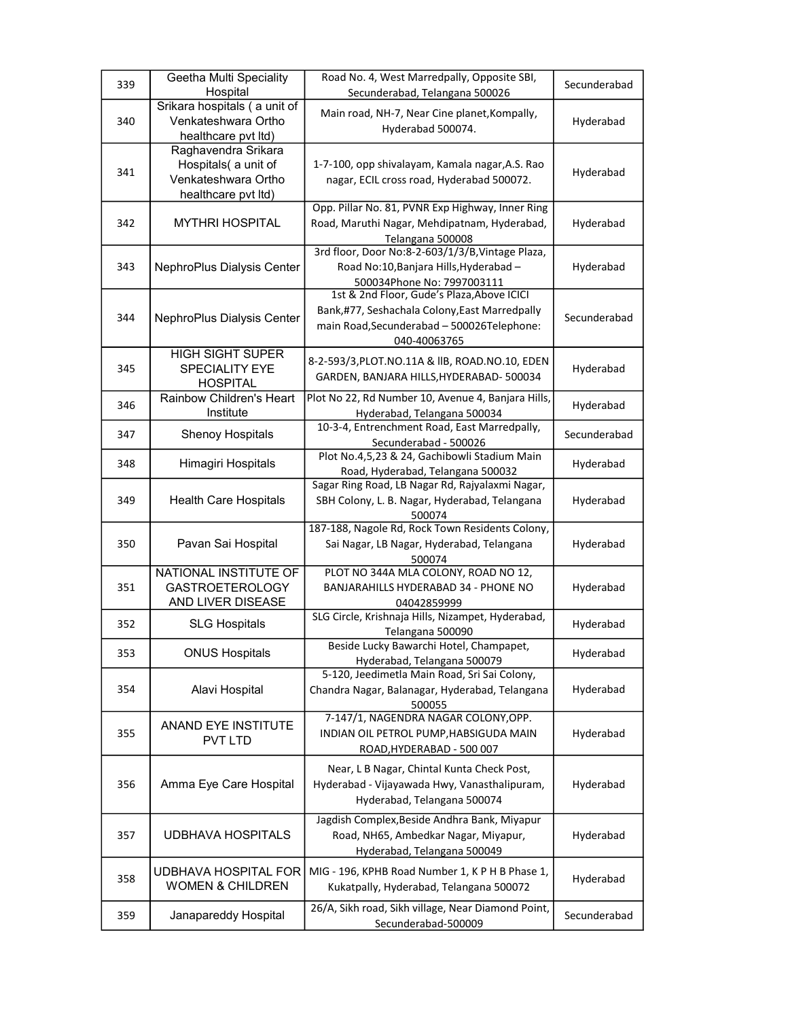| 339 | Geetha Multi Speciality<br>Hospital                                                       | Road No. 4, West Marredpally, Opposite SBI,<br>Secunderabad, Telangana 500026                                                                             | Secunderabad |
|-----|-------------------------------------------------------------------------------------------|-----------------------------------------------------------------------------------------------------------------------------------------------------------|--------------|
| 340 | Srikara hospitals (a unit of<br>Venkateshwara Ortho<br>healthcare pvt ltd)                | Main road, NH-7, Near Cine planet, Kompally,<br>Hyderabad 500074.                                                                                         | Hyderabad    |
| 341 | Raghavendra Srikara<br>Hospitals( a unit of<br>Venkateshwara Ortho<br>healthcare pvt ltd) | 1-7-100, opp shivalayam, Kamala nagar, A.S. Rao<br>nagar, ECIL cross road, Hyderabad 500072.                                                              | Hyderabad    |
| 342 | <b>MYTHRI HOSPITAL</b>                                                                    | Opp. Pillar No. 81, PVNR Exp Highway, Inner Ring<br>Road, Maruthi Nagar, Mehdipatnam, Hyderabad,<br>Telangana 500008                                      | Hyderabad    |
| 343 | NephroPlus Dialysis Center                                                                | 3rd floor, Door No:8-2-603/1/3/B, Vintage Plaza,<br>Road No:10, Banjara Hills, Hyderabad -<br>500034Phone No: 7997003111                                  | Hyderabad    |
| 344 | NephroPlus Dialysis Center                                                                | 1st & 2nd Floor, Gude's Plaza, Above ICICI<br>Bank,#77, Seshachala Colony, East Marredpally<br>main Road, Secunderabad - 500026Telephone:<br>040-40063765 | Secunderabad |
| 345 | <b>HIGH SIGHT SUPER</b><br>SPECIALITY EYE<br><b>HOSPITAL</b>                              | 8-2-593/3, PLOT.NO.11A & IIB, ROAD.NO.10, EDEN<br>GARDEN, BANJARA HILLS, HYDERABAD- 500034                                                                | Hyderabad    |
| 346 | Rainbow Children's Heart<br>Institute                                                     | Plot No 22, Rd Number 10, Avenue 4, Banjara Hills,<br>Hyderabad, Telangana 500034                                                                         | Hyderabad    |
| 347 | <b>Shenoy Hospitals</b>                                                                   | 10-3-4, Entrenchment Road, East Marredpally,<br>Secunderabad - 500026                                                                                     | Secunderabad |
| 348 | Himagiri Hospitals                                                                        | Plot No.4,5,23 & 24, Gachibowli Stadium Main<br>Road, Hyderabad, Telangana 500032                                                                         | Hyderabad    |
| 349 | <b>Health Care Hospitals</b>                                                              | Sagar Ring Road, LB Nagar Rd, Rajyalaxmi Nagar,<br>SBH Colony, L. B. Nagar, Hyderabad, Telangana<br>500074                                                | Hyderabad    |
| 350 | Pavan Sai Hospital                                                                        | 187-188, Nagole Rd, Rock Town Residents Colony,<br>Sai Nagar, LB Nagar, Hyderabad, Telangana<br>500074                                                    | Hyderabad    |
| 351 | NATIONAL INSTITUTE OF<br><b>GASTROETEROLOGY</b><br>AND LIVER DISEASE                      | PLOT NO 344A MLA COLONY, ROAD NO 12,<br>BANJARAHILLS HYDERABAD 34 - PHONE NO<br>04042859999                                                               | Hyderabad    |
| 352 | <b>SLG Hospitals</b>                                                                      | SLG Circle, Krishnaja Hills, Nizampet, Hyderabad,<br>Telangana 500090                                                                                     | Hyderabad    |
| 353 | <b>ONUS Hospitals</b>                                                                     | Beside Lucky Bawarchi Hotel, Champapet,<br>Hyderabad, Telangana 500079                                                                                    | Hyderabad    |
| 354 | Alavi Hospital                                                                            | 5-120, Jeedimetla Main Road, Sri Sai Colony,<br>Chandra Nagar, Balanagar, Hyderabad, Telangana<br>500055                                                  | Hyderabad    |
| 355 | <b>ANAND EYE INSTITUTE</b><br><b>PVT LTD</b>                                              | 7-147/1, NAGENDRA NAGAR COLONY, OPP.<br>INDIAN OIL PETROL PUMP, HABSIGUDA MAIN<br>ROAD, HYDERABAD - 500 007                                               | Hyderabad    |
| 356 | Amma Eye Care Hospital                                                                    | Near, L B Nagar, Chintal Kunta Check Post,<br>Hyderabad - Vijayawada Hwy, Vanasthalipuram,<br>Hyderabad, Telangana 500074                                 | Hyderabad    |
| 357 | <b>UDBHAVA HOSPITALS</b>                                                                  | Jagdish Complex, Beside Andhra Bank, Miyapur<br>Road, NH65, Ambedkar Nagar, Miyapur,<br>Hyderabad, Telangana 500049                                       | Hyderabad    |
| 358 | UDBHAVA HOSPITAL FOR<br><b>WOMEN &amp; CHILDREN</b>                                       | MIG - 196, KPHB Road Number 1, KPHB Phase 1,<br>Kukatpally, Hyderabad, Telangana 500072                                                                   | Hyderabad    |
| 359 | Janapareddy Hospital                                                                      | 26/A, Sikh road, Sikh village, Near Diamond Point,<br>Secunderabad-500009                                                                                 | Secunderabad |